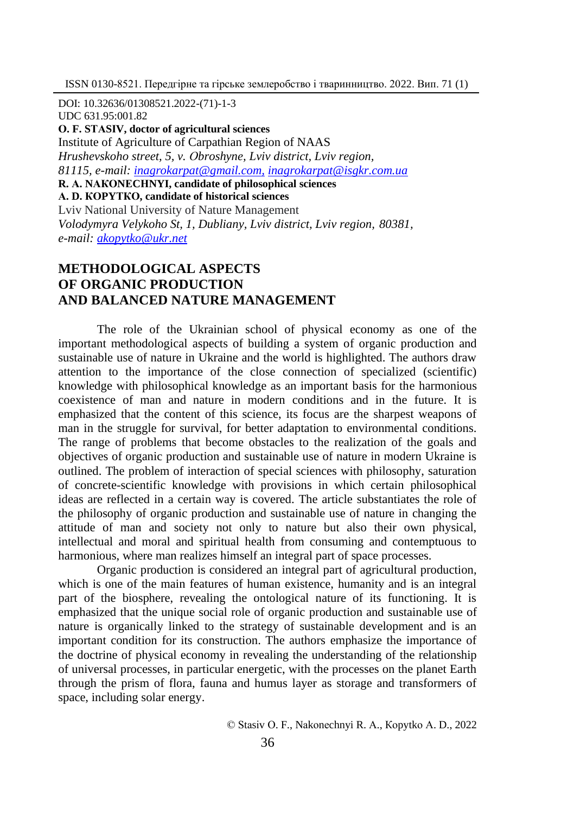DOI: 10.32636/01308521.2022-(71)-1-3 UDC 631.95:001.82 **О. F. SТАSІV, doctor of agricultural sciences** Institute of Agriculture of Carpathian Region of NAAS *Hrushevskoho street, 5, v. Оbroshyne, Lviv district, Lviv region, 81115, e-mail: inagrokarpat@gmail.com, [inagrokarpat@isgkr.com.ua](mailto:inagrokarpat@gmail.com,%20inagrokarpat@isgkr.com.ua)* **R. А. NАКОNЕCНNYI, candidate of philosophical sciences А. D. КОPYТКО, candidate of historical sciences** Lviv National University of Nature Management *Volodymyra Velykoho St, 1, Dubliany, Lviv district, Lviv region, 80381, e-mail: [akopytko@ukr.net](mailto:akopytko@ukr.net)*

# **METHODOLOGICAL ASPECTS OF ORGANIC PRODUCTION AND BALANCED NATURE MANAGEMENT**

The role of the Ukrainian school of physical economy as one of the important methodological aspects of building a system of organic production and sustainable use of nature in Ukraine and the world is highlighted. The authors draw attention to the importance of the close connection of specialized (scientific) knowledge with philosophical knowledge as an important basis for the harmonious coexistence of man and nature in modern conditions and in the future. It is emphasized that the content of this science, its focus are the sharpest weapons of man in the struggle for survival, for better adaptation to environmental conditions. The range of problems that become obstacles to the realization of the goals and objectives of organic production and sustainable use of nature in modern Ukraine is outlined. The problem of interaction of special sciences with philosophy, saturation of concrete-scientific knowledge with provisions in which certain philosophical ideas are reflected in a certain way is covered. The article substantiates the role of the philosophy of organic production and sustainable use of nature in changing the attitude of man and society not only to nature but also their own physical, intellectual and moral and spiritual health from consuming and contemptuous to harmonious, where man realizes himself an integral part of space processes.

Organic production is considered an integral part of agricultural production, which is one of the main features of human existence, humanity and is an integral part of the biosphere, revealing the ontological nature of its functioning. It is emphasized that the unique social role of organic production and sustainable use of nature is organically linked to the strategy of sustainable development and is an important condition for its construction. The authors emphasize the importance of the doctrine of physical economy in revealing the understanding of the relationship of universal processes, in particular energetic, with the processes on the planet Earth through the prism of flora, fauna and humus layer as storage and transformers of space, including solar energy.

© Stаsіv О. F., Nаkоnеchnyi R. А., Коpytkо А. D., 2022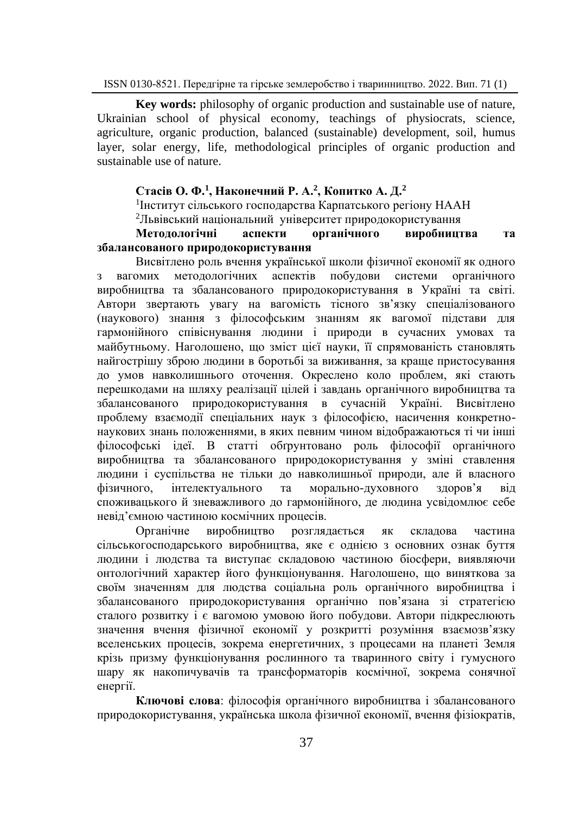**Key words:** philosophy of organic production and sustainable use of nature, Ukrainian school of physical economy, teachings of physiocrats, science, agriculture, organic production, balanced (sustainable) development, soil, humus layer, solar energy, life, methodological principles of organic production and sustainable use of nature.

### **Стасів О. Ф.<sup>1</sup> , Наконечний Р. А.<sup>2</sup> , Копитко А. Д.<sup>2</sup>**

1 Інститут сільського господарства Карпатського регіону НААН

<sup>2</sup>Львівський національний університет природокористування

### **Методологічні аспекти органічного виробництва та збалансованого природокористування**

Висвітлено роль вчення української школи фізичної економії як одного з вагомих методологічних аспектів побудови системи органічного виробництва та збалансованого природокористування в Україні та світі. Автори звертають увагу на вагомість тісного зв'язку спеціалізованого (наукового) знання з філософським знанням як вагомої підстави для гармонійного співіснування людини і природи в сучасних умовах та майбутньому. Наголошено, що зміст цієї науки, її спрямованість становлять найгострішу зброю людини в боротьбі за виживання, за краще пристосування до умов навколишнього оточення. Окреслено коло проблем, які стають перешкодами на шляху реалізації цілей і завдань органічного виробництва та збалансованого природокористування в сучасній Україні. Висвітлено проблему взаємодії спеціальних наук з філософією, насичення конкретнонаукових знань положеннями, в яких певним чином відображаються ті чи інші філософські ідеї. В статті обґрунтовано роль філософії органічного виробництва та збалансованого природокористування у зміні ставлення людини і суспільства не тільки до навколишньої природи, але й власного фізичного, інтелектуального та морально-духовного здоров'я від споживацького й зневажливого до гармонійного, де людина усвідомлює себе невід'ємною частиною космічних процесів.

Органічне виробництво розглядається як складова частина сільськогосподарського виробництва, яке є однією з основних ознак буття людини і людства та виступає складовою частиною біосфери, виявляючи онтологічний характер його функціонування. Наголошено, що виняткова за своїм значенням для людства соціальна роль органічного виробництва і збалансованого природокористування органічно пов'язана зі стратегією сталого розвитку і є вагомою умовою його побудови. Автори підкреслюють значення вчення фізичної економії у розкритті розуміння взаємозв'язку вселенських процесів, зокрема енергетичних, з процесами на планеті Земля крізь призму функціонування рослинного та тваринного світу і гумусного шару як накопичувачів та трансформаторів космічної, зокрема сонячної енергії.

**Ключові слова**: філософія органічного виробництва і збалансованого природокористування, українська школа фізичної економії, вчення фізіократів,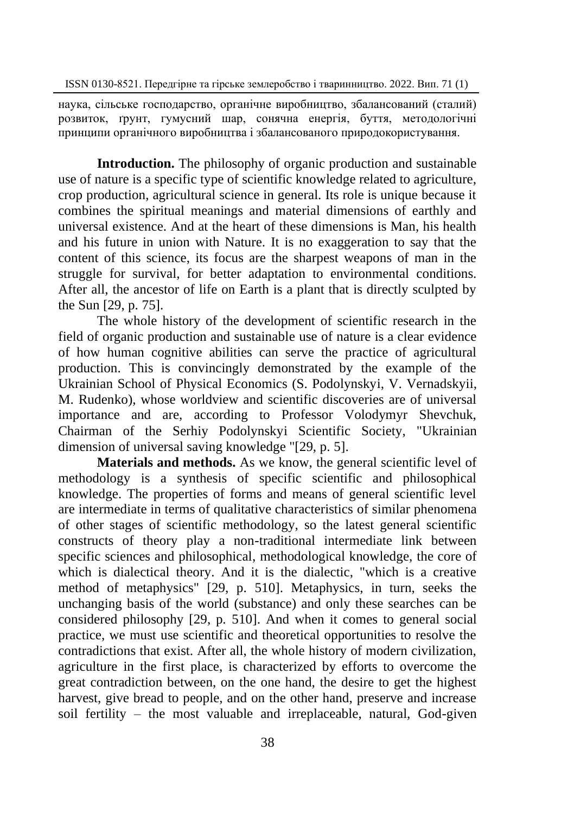наука, сільське господарство, органічне виробництво, збалансований (сталий) розвиток, ґрунт, гумусний шар, сонячна енергія, буття, методологічні принципи органічного виробництва і збалансованого природокористування.

**Introduction.** The philosophy of organic production and sustainable use of nature is a specific type of scientific knowledge related to agriculture, crop production, agricultural science in general. Its role is unique because it combines the spiritual meanings and material dimensions of earthly and universal existence. And at the heart of these dimensions is Man, his health and his future in union with Nature. It is no exaggeration to say that the content of this science, its focus are the sharpest weapons of man in the struggle for survival, for better adaptation to environmental conditions. After all, the ancestor of life on Earth is a plant that is directly sculpted by the Sun [29, p. 75].

The whole history of the development of scientific research in the field of organic production and sustainable use of nature is a clear evidence of how human cognitive abilities can serve the practice of agricultural production. This is convincingly demonstrated by the example of the Ukrainian School of Physical Economics (S. Podolynskyi, V. Vernadskyii, M. Rudenko), whose worldview and scientific discoveries are of universal importance and are, according to Professor Volodymyr Shevchuk, Chairman of the Serhiy Podolynskyi Scientific Society, "Ukrainian dimension of universal saving knowledge "[29, p. 5].

**Materials and methods.** As we know, the general scientific level of methodology is a synthesis of specific scientific and philosophical knowledge. The properties of forms and means of general scientific level are intermediate in terms of qualitative characteristics of similar phenomena of other stages of scientific methodology, so the latest general scientific constructs of theory play a non-traditional intermediate link between specific sciences and philosophical, methodological knowledge, the core of which is dialectical theory. And it is the dialectic, "which is a creative method of metaphysics" [29, p. 510]. Metaphysics, in turn, seeks the unchanging basis of the world (substance) and only these searches can be considered philosophy [29, p. 510]. And when it comes to general social practice, we must use scientific and theoretical opportunities to resolve the contradictions that exist. After all, the whole history of modern civilization, agriculture in the first place, is characterized by efforts to overcome the great contradiction between, on the one hand, the desire to get the highest harvest, give bread to people, and on the other hand, preserve and increase soil fertility  $-$  the most valuable and irreplaceable, natural, God-given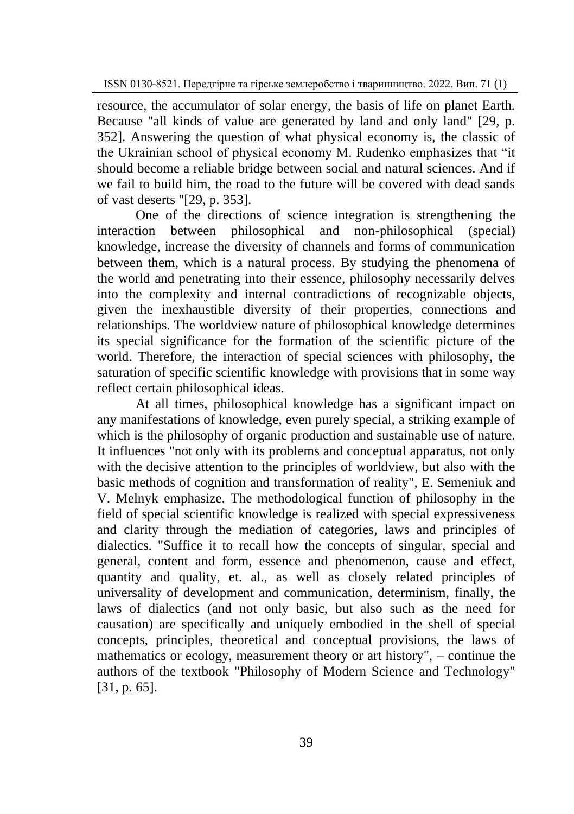resource, the accumulator of solar energy, the basis of life on planet Earth. Because "all kinds of value are generated by land and only land" [29, p. 352]. Answering the question of what physical economy is, the classic of the Ukrainian school of physical economy M. Rudenko emphasizes that "it should become a reliable bridge between social and natural sciences. And if we fail to build him, the road to the future will be covered with dead sands of vast deserts "[29, p. 353].

One of the directions of science integration is strengthening the interaction between philosophical and non-philosophical (special) knowledge, increase the diversity of channels and forms of communication between them, which is a natural process. By studying the phenomena of the world and penetrating into their essence, philosophy necessarily delves into the complexity and internal contradictions of recognizable objects, given the inexhaustible diversity of their properties, connections and relationships. The worldview nature of philosophical knowledge determines its special significance for the formation of the scientific picture of the world. Therefore, the interaction of special sciences with philosophy, the saturation of specific scientific knowledge with provisions that in some way reflect certain philosophical ideas.

At all times, philosophical knowledge has a significant impact on any manifestations of knowledge, even purely special, a striking example of which is the philosophy of organic production and sustainable use of nature. It influences "not only with its problems and conceptual apparatus, not only with the decisive attention to the principles of worldview, but also with the basic methods of cognition and transformation of reality", E. Semeniuk and V. Melnyk emphasize. The methodological function of philosophy in the field of special scientific knowledge is realized with special expressiveness and clarity through the mediation of categories, laws and principles of dialectics. "Suffice it to recall how the concepts of singular, special and general, content and form, essence and phenomenon, cause and effect, quantity and quality, et. al., as well as closely related principles of universality of development and communication, determinism, finally, the laws of dialectics (and not only basic, but also such as the need for causation) are specifically and uniquely embodied in the shell of special concepts, principles, theoretical and conceptual provisions, the laws of mathematics or ecology, measurement theory or art history", – continue the authors of the textbook "Philosophy of Modern Science and Technology" [31, p. 65].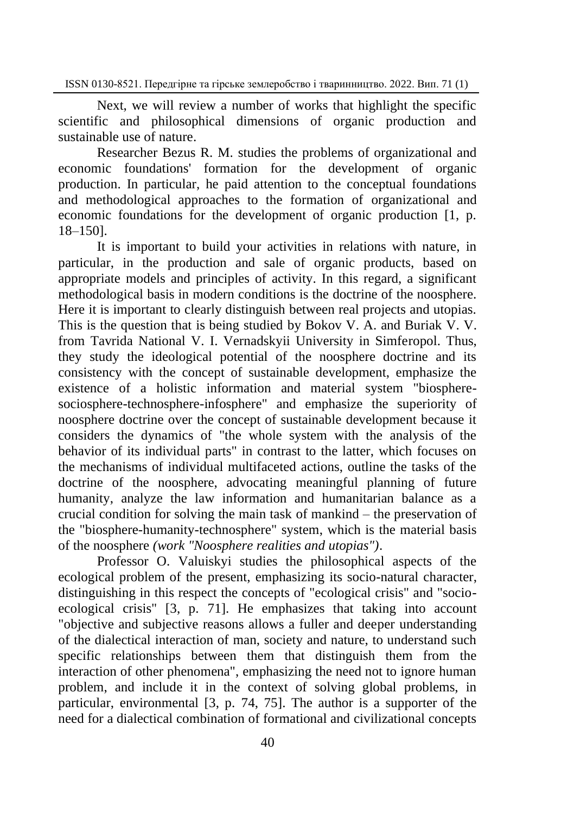Next, we will review a number of works that highlight the specific scientific and philosophical dimensions of organic production and sustainable use of nature.

Researcher Bezus R. M. studies the problems of organizational and economic foundations' formation for the development of organic production. In particular, he paid attention to the conceptual foundations and methodological approaches to the formation of organizational and economic foundations for the development of organic production [1, p. 18‒150].

It is important to build your activities in relations with nature, in particular, in the production and sale of organic products, based on appropriate models and principles of activity. In this regard, a significant methodological basis in modern conditions is the doctrine of the noosphere. Here it is important to clearly distinguish between real projects and utopias. This is the question that is being studied by Bokov V. A. and Buriak V. V. from Tavrida National V. I. Vernadskyii University in Simferopol. Thus, they study the ideological potential of the noosphere doctrine and its consistency with the concept of sustainable development, emphasize the existence of a holistic information and material system "biospheresociosphere-technosphere-infosphere" and emphasize the superiority of noosphere doctrine over the concept of sustainable development because it considers the dynamics of "the whole system with the analysis of the behavior of its individual parts" in contrast to the latter, which focuses on the mechanisms of individual multifaceted actions, outline the tasks of the doctrine of the noosphere, advocating meaningful planning of future humanity, analyze the law information and humanitarian balance as a crucial condition for solving the main task of mankind – the preservation of the "biosphere-humanity-technosphere" system, which is the material basis of the noosphere *(work "Noosphere realities and utopias")*.

Professor O. Valuiskyi studies the philosophical aspects of the ecological problem of the present, emphasizing its socio-natural character, distinguishing in this respect the concepts of "ecological crisis" and "socioecological crisis" [3, p. 71]. He emphasizes that taking into account "objective and subjective reasons allows a fuller and deeper understanding of the dialectical interaction of man, society and nature, to understand such specific relationships between them that distinguish them from the interaction of other phenomena", emphasizing the need not to ignore human problem, and include it in the context of solving global problems, in particular, environmental [3, p. 74, 75]. The author is a supporter of the need for a dialectical combination of formational and civilizational concepts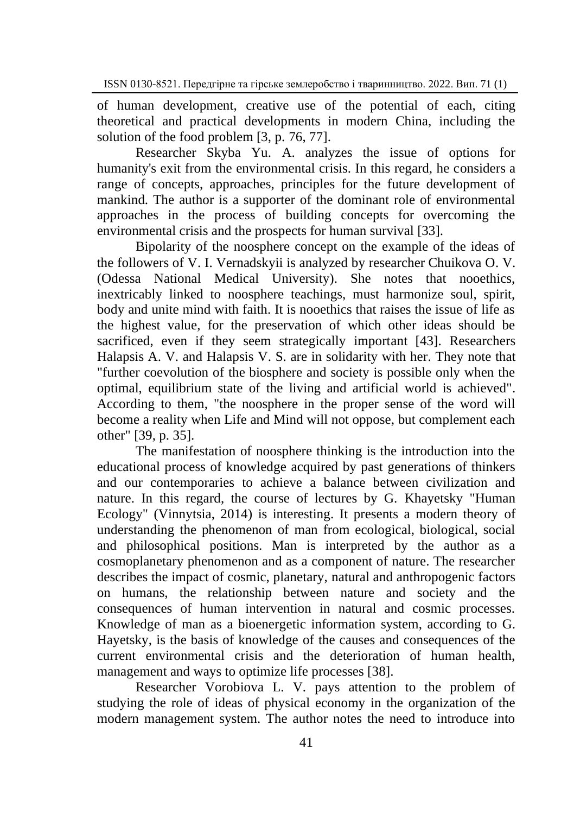of human development, creative use of the potential of each, citing theoretical and practical developments in modern China, including the solution of the food problem [3, p. 76, 77].

Researcher Skyba Yu. A. analyzes the issue of options for humanity's exit from the environmental crisis. In this regard, he considers a range of concepts, approaches, principles for the future development of mankind. The author is a supporter of the dominant role of environmental approaches in the process of building concepts for overcoming the environmental crisis and the prospects for human survival [33].

Bipolarity of the noosphere concept on the example of the ideas of the followers of V. I. Vernadskyii is analyzed by researcher Chuikova O. V. (Odessa National Medical University). She notes that nooethics, inextricably linked to noosphere teachings, must harmonize soul, spirit, body and unite mind with faith. It is nooethics that raises the issue of life as the highest value, for the preservation of which other ideas should be sacrificed, even if they seem strategically important [43]. Researchers Halapsis A. V. and Halapsis V. S. are in solidarity with her. They note that "further coevolution of the biosphere and society is possible only when the optimal, equilibrium state of the living and artificial world is achieved". According to them, "the noosphere in the proper sense of the word will become a reality when Life and Mind will not oppose, but complement each other" [39, p. 35].

The manifestation of noosphere thinking is the introduction into the educational process of knowledge acquired by past generations of thinkers and our contemporaries to achieve a balance between civilization and nature. In this regard, the course of lectures by G. Khayetsky "Human Ecology" (Vinnytsia, 2014) is interesting. It presents a modern theory of understanding the phenomenon of man from ecological, biological, social and philosophical positions. Man is interpreted by the author as a cosmoplanetary phenomenon and as a component of nature. The researcher describes the impact of cosmic, planetary, natural and anthropogenic factors on humans, the relationship between nature and society and the consequences of human intervention in natural and cosmic processes. Knowledge of man as a bioenergetic information system, according to G. Hayetsky, is the basis of knowledge of the causes and consequences of the current environmental crisis and the deterioration of human health, management and ways to optimize life processes [38].

Researcher Vorobiova L. V. pays attention to the problem of studying the role of ideas of physical economy in the organization of the modern management system. The author notes the need to introduce into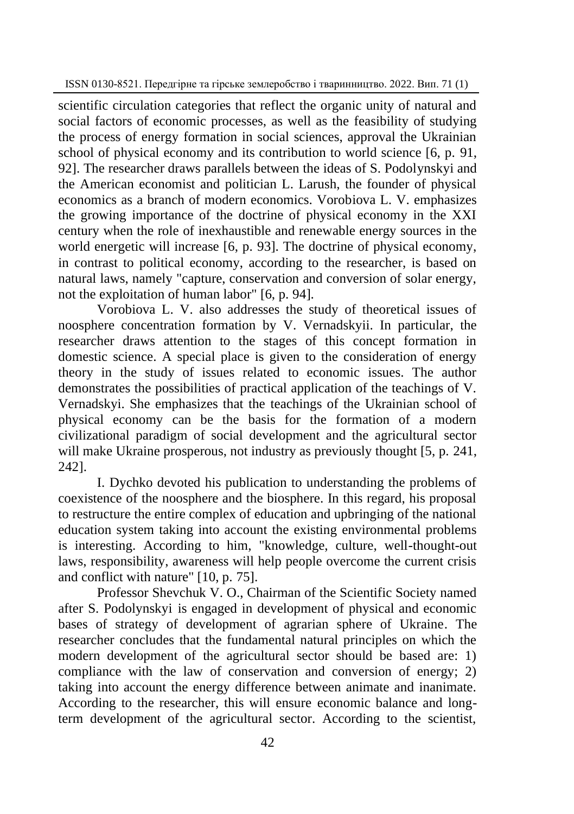scientific circulation categories that reflect the organic unity of natural and social factors of economic processes, as well as the feasibility of studying the process of energy formation in social sciences, approval the Ukrainian school of physical economy and its contribution to world science [6, p. 91, 92]. The researcher draws parallels between the ideas of S. Podolynskyi and the American economist and politician L. Larush, the founder of physical economics as a branch of modern economics. Vorobiova L. V. emphasizes the growing importance of the doctrine of physical economy in the XXI century when the role of inexhaustible and renewable energy sources in the world energetic will increase [6, p. 93]. The doctrine of physical economy, in contrast to political economy, according to the researcher, is based on natural laws, namely "capture, conservation and conversion of solar energy, not the exploitation of human labor" [6, p. 94].

Vorobiova L. V. also addresses the study of theoretical issues of noosphere concentration formation by V. Vernadskyii. In particular, the researcher draws attention to the stages of this concept formation in domestic science. A special place is given to the consideration of energy theory in the study of issues related to economic issues. The author demonstrates the possibilities of practical application of the teachings of V. Vernadskyi. She emphasizes that the teachings of the Ukrainian school of physical economy can be the basis for the formation of a modern civilizational paradigm of social development and the agricultural sector will make Ukraine prosperous, not industry as previously thought [5, p. 241, 242].

I. Dychko devoted his publication to understanding the problems of coexistence of the noosphere and the biosphere. In this regard, his proposal to restructure the entire complex of education and upbringing of the national education system taking into account the existing environmental problems is interesting. According to him, "knowledge, culture, well-thought-out laws, responsibility, awareness will help people overcome the current crisis and conflict with nature" [10, p. 75].

Professor Shevchuk V. O., Chairman of the Scientific Society named after S. Podolynskyi is engaged in development of physical and economic bases of strategy of development of agrarian sphere of Ukraine. The researcher concludes that the fundamental natural principles on which the modern development of the agricultural sector should be based are: 1) compliance with the law of conservation and conversion of energy; 2) taking into account the energy difference between animate and inanimate. According to the researcher, this will ensure economic balance and longterm development of the agricultural sector. According to the scientist,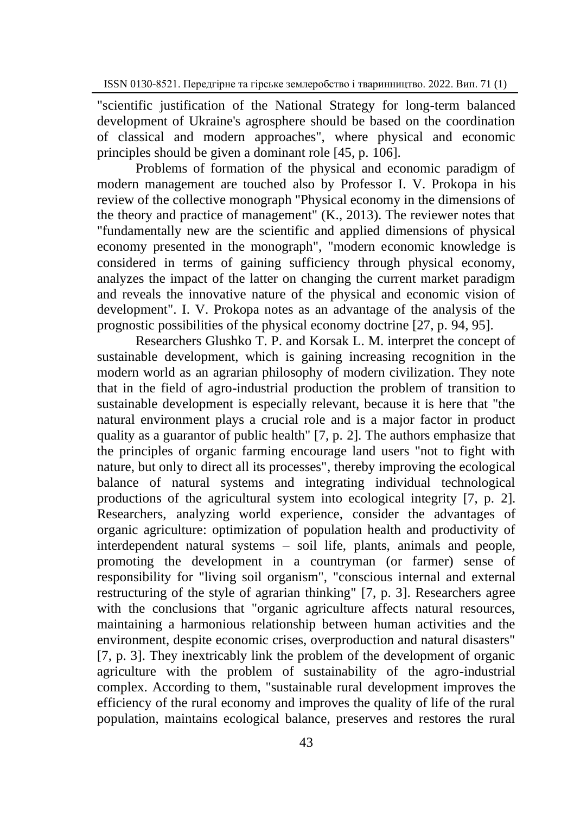"scientific justification of the National Strategy for long-term balanced development of Ukraine's agrosphere should be based on the coordination of classical and modern approaches", where physical and economic principles should be given a dominant role [45, p. 106].

Problems of formation of the physical and economic paradigm of modern management are touched also by Professor I. V. Prokopa in his review of the collective monograph "Physical economy in the dimensions of the theory and practice of management" (K., 2013). The reviewer notes that "fundamentally new are the scientific and applied dimensions of physical economy presented in the monograph", "modern economic knowledge is considered in terms of gaining sufficiency through physical economy, analyzes the impact of the latter on changing the current market paradigm and reveals the innovative nature of the physical and economic vision of development". I. V. Prokopa notes as an advantage of the analysis of the prognostic possibilities of the physical economy doctrine [27, p. 94, 95].

Researchers Glushko T. P. and Korsak L. M. interpret the concept of sustainable development, which is gaining increasing recognition in the modern world as an agrarian philosophy of modern civilization. They note that in the field of agro-industrial production the problem of transition to sustainable development is especially relevant, because it is here that "the natural environment plays a crucial role and is a major factor in product quality as a guarantor of public health" [7, p. 2]. The authors emphasize that the principles of organic farming encourage land users "not to fight with nature, but only to direct all its processes", thereby improving the ecological balance of natural systems and integrating individual technological productions of the agricultural system into ecological integrity [7, p. 2]. Researchers, analyzing world experience, consider the advantages of organic agriculture: optimization of population health and productivity of interdependent natural systems – soil life, plants, animals and people, promoting the development in a countryman (or farmer) sense of responsibility for "living soil organism", "conscious internal and external restructuring of the style of agrarian thinking" [7, p. 3]. Researchers agree with the conclusions that "organic agriculture affects natural resources, maintaining a harmonious relationship between human activities and the environment, despite economic crises, overproduction and natural disasters" [7, p. 3]. They inextricably link the problem of the development of organic agriculture with the problem of sustainability of the agro-industrial complex. According to them, "sustainable rural development improves the efficiency of the rural economy and improves the quality of life of the rural population, maintains ecological balance, preserves and restores the rural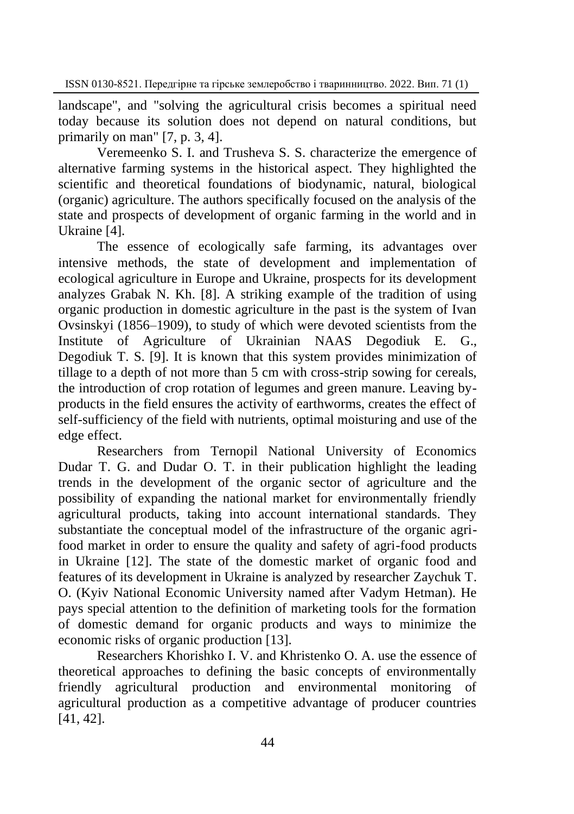landscape", and "solving the agricultural crisis becomes a spiritual need today because its solution does not depend on natural conditions, but primarily on man" [7, p. 3, 4].

Veremeenko S. I. and Trusheva S. S. characterize the emergence of alternative farming systems in the historical aspect. They highlighted the scientific and theoretical foundations of biodynamic, natural, biological (organic) agriculture. The authors specifically focused on the analysis of the state and prospects of development of organic farming in the world and in Ukraine [4].

The essence of ecologically safe farming, its advantages over intensive methods, the state of development and implementation of ecological agriculture in Europe and Ukraine, prospects for its development analyzes Grabak N. Kh. [8]. A striking example of the tradition of using organic production in domestic agriculture in the past is the system of Ivan Ovsinskyi (1856–1909), to study of which were devoted scientists from the Institute of Agriculture of Ukrainian NAAS Degodiuk E. G., Degodiuk T. S. [9]. It is known that this system provides minimization of tillage to a depth of not more than 5 cm with cross-strip sowing for cereals, the introduction of crop rotation of legumes and green manure. Leaving byproducts in the field ensures the activity of earthworms, creates the effect of self-sufficiency of the field with nutrients, optimal moisturing and use of the edge effect.

Researchers from Ternopil National University of Economics Dudar T. G. and Dudar O. T. in their publication highlight the leading trends in the development of the organic sector of agriculture and the possibility of expanding the national market for environmentally friendly agricultural products, taking into account international standards. They substantiate the conceptual model of the infrastructure of the organic agrifood market in order to ensure the quality and safety of agri-food products in Ukraine [12]. The state of the domestic market of organic food and features of its development in Ukraine is analyzed by researcher Zaychuk T. O. (Kyiv National Economic University named after Vadym Hetman). He pays special attention to the definition of marketing tools for the formation of domestic demand for organic products and ways to minimize the economic risks of organic production [13].

Researchers Khorishko I. V. and Khristenko O. A. use the essence of theoretical approaches to defining the basic concepts of environmentally friendly agricultural production and environmental monitoring of agricultural production as a competitive advantage of producer countries [41, 42].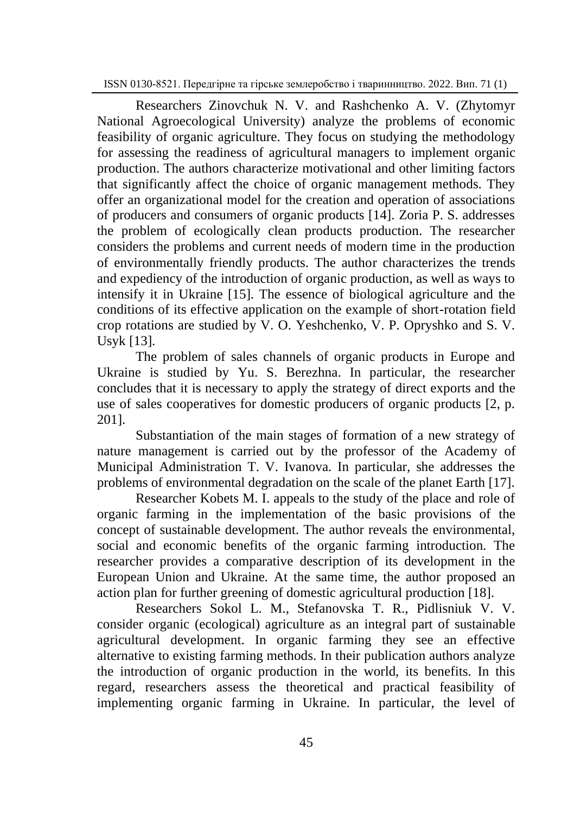Researchers Zinovchuk N. V. and Rashchenko A. V. (Zhytomyr National Agroecological University) analyze the problems of economic feasibility of organic agriculture. They focus on studying the methodology for assessing the readiness of agricultural managers to implement organic production. The authors characterize motivational and other limiting factors that significantly affect the choice of organic management methods. They offer an organizational model for the creation and operation of associations of producers and consumers of organic products [14]. Zoria P. S. addresses the problem of ecologically clean products production. The researcher considers the problems and current needs of modern time in the production of environmentally friendly products. The author characterizes the trends and expediency of the introduction of organic production, as well as ways to intensify it in Ukraine [15]. The essence of biological agriculture and the conditions of its effective application on the example of short-rotation field crop rotations are studied by V. O. Yeshchenko, V. P. Opryshko and S. V. Usyk [13].

The problem of sales channels of organic products in Europe and Ukraine is studied by Yu. S. Berezhna. In particular, the researcher concludes that it is necessary to apply the strategy of direct exports and the use of sales cooperatives for domestic producers of organic products [2, p. 201].

Substantiation of the main stages of formation of a new strategy of nature management is carried out by the professor of the Academy of Municipal Administration T. V. Ivanova. In particular, she addresses the problems of environmental degradation on the scale of the planet Earth [17].

Researcher Kobets M. I. appeals to the study of the place and role of organic farming in the implementation of the basic provisions of the concept of sustainable development. The author reveals the environmental, social and economic benefits of the organic farming introduction. The researcher provides a comparative description of its development in the European Union and Ukraine. At the same time, the author proposed an action plan for further greening of domestic agricultural production [18].

Researchers Sokol L. M., Stefanovska T. R., Pidlisniuk V. V. consider organic (ecological) agriculture as an integral part of sustainable agricultural development. In organic farming they see an effective alternative to existing farming methods. In their publication authors analyze the introduction of organic production in the world, its benefits. In this regard, researchers assess the theoretical and practical feasibility of implementing organic farming in Ukraine. In particular, the level of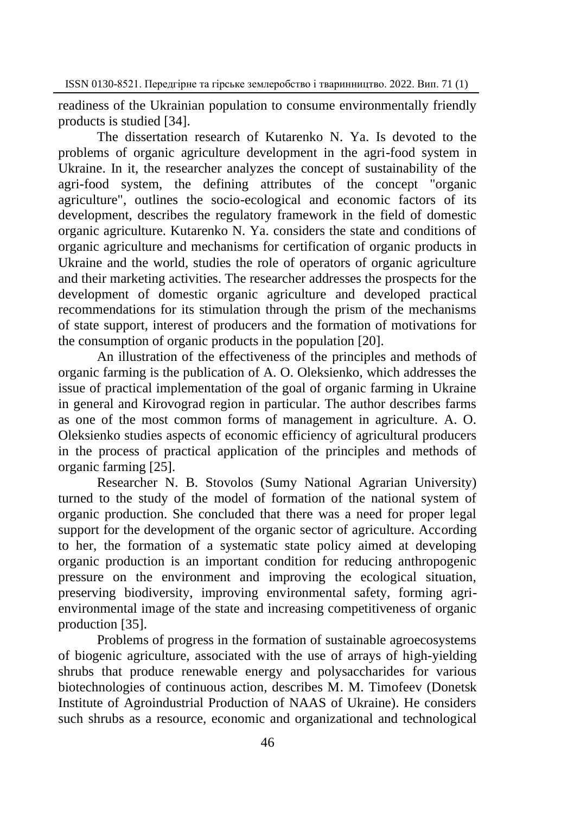readiness of the Ukrainian population to consume environmentally friendly products is studied [34].

The dissertation research of Kutarenko N. Ya. Is devoted to the problems of organic agriculture development in the agri-food system in Ukraine. In it, the researcher analyzes the concept of sustainability of the agri-food system, the defining attributes of the concept "organic agriculture", outlines the socio-ecological and economic factors of its development, describes the regulatory framework in the field of domestic organic agriculture. Kutarenko N. Ya. considers the state and conditions of organic agriculture and mechanisms for certification of organic products in Ukraine and the world, studies the role of operators of organic agriculture and their marketing activities. The researcher addresses the prospects for the development of domestic organic agriculture and developed practical recommendations for its stimulation through the prism of the mechanisms of state support, interest of producers and the formation of motivations for the consumption of organic products in the population [20].

An illustration of the effectiveness of the principles and methods of organic farming is the publication of A. O. Oleksienko, which addresses the issue of practical implementation of the goal of organic farming in Ukraine in general and Kirovograd region in particular. The author describes farms as one of the most common forms of management in agriculture. A. O. Oleksienko studies aspects of economic efficiency of agricultural producers in the process of practical application of the principles and methods of organic farming [25].

Researcher N. B. Stovolos (Sumy National Agrarian University) turned to the study of the model of formation of the national system of organic production. She concluded that there was a need for proper legal support for the development of the organic sector of agriculture. According to her, the formation of a systematic state policy aimed at developing organic production is an important condition for reducing anthropogenic pressure on the environment and improving the ecological situation, preserving biodiversity, improving environmental safety, forming agrienvironmental image of the state and increasing competitiveness of organic production [35].

Problems of progress in the formation of sustainable agroecosystems of biogenic agriculture, associated with the use of arrays of high-yielding shrubs that produce renewable energy and polysaccharides for various biotechnologies of continuous action, describes M. M. Timofeev (Donetsk Institute of Agroindustrial Production of NAAS of Ukraine). He considers such shrubs as a resource, economic and organizational and technological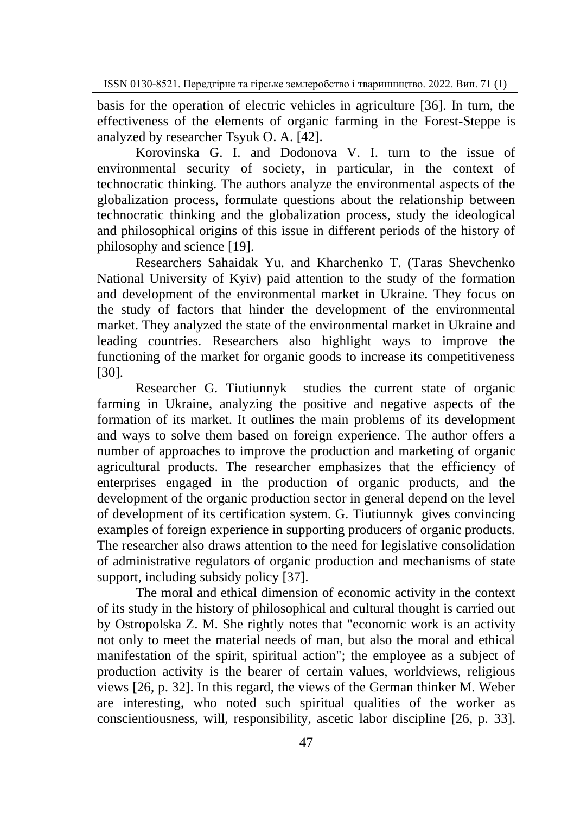basis for the operation of electric vehicles in agriculture [36]. In turn, the effectiveness of the elements of organic farming in the Forest-Steppe is analyzed by researcher Tsyuk O. A. [42].

Korovinska G. I. and Dodonova V. I. turn to the issue of environmental security of society, in particular, in the context of technocratic thinking. The authors analyze the environmental aspects of the globalization process, formulate questions about the relationship between technocratic thinking and the globalization process, study the ideological and philosophical origins of this issue in different periods of the history of philosophy and science [19].

Researchers Sahaidak Yu. and Kharchenko T. (Taras Shevchenko National University of Kyiv) paid attention to the study of the formation and development of the environmental market in Ukraine. They focus on the study of factors that hinder the development of the environmental market. They analyzed the state of the environmental market in Ukraine and leading countries. Researchers also highlight ways to improve the functioning of the market for organic goods to increase its competitiveness [30].

Researcher G. Tiutiunnyk studies the current state of organic farming in Ukraine, analyzing the positive and negative aspects of the formation of its market. It outlines the main problems of its development and ways to solve them based on foreign experience. The author offers a number of approaches to improve the production and marketing of organic agricultural products. The researcher emphasizes that the efficiency of enterprises engaged in the production of organic products, and the development of the organic production sector in general depend on the level of development of its certification system. G. Tiutiunnyk gives convincing examples of foreign experience in supporting producers of organic products. The researcher also draws attention to the need for legislative consolidation of administrative regulators of organic production and mechanisms of state support, including subsidy policy [37].

The moral and ethical dimension of economic activity in the context of its study in the history of philosophical and cultural thought is carried out by Ostropolska Z. M. She rightly notes that "economic work is an activity not only to meet the material needs of man, but also the moral and ethical manifestation of the spirit, spiritual action"; the employee as a subject of production activity is the bearer of certain values, worldviews, religious views [26, p. 32]. In this regard, the views of the German thinker M. Weber are interesting, who noted such spiritual qualities of the worker as conscientiousness, will, responsibility, ascetic labor discipline [26, p. 33].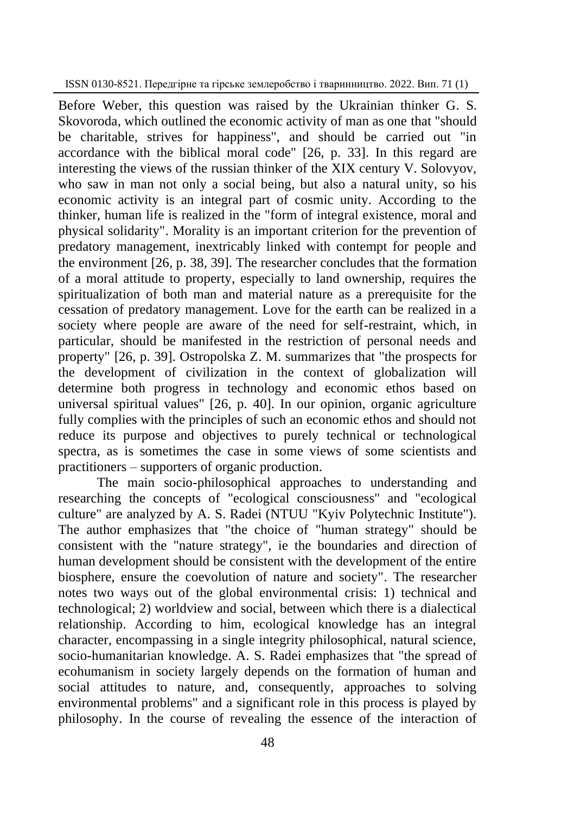Before Weber, this question was raised by the Ukrainian thinker G. S. Skovoroda, which outlined the economic activity of man as one that "should be charitable, strives for happiness", and should be carried out "in accordance with the biblical moral code" [26, p. 33]. In this regard are interesting the views of the russian thinker of the XIX century V. Solovyov, who saw in man not only a social being, but also a natural unity, so his economic activity is an integral part of cosmic unity. According to the thinker, human life is realized in the "form of integral existence, moral and physical solidarity". Morality is an important criterion for the prevention of predatory management, inextricably linked with contempt for people and the environment [26, p. 38, 39]. The researcher concludes that the formation of a moral attitude to property, especially to land ownership, requires the spiritualization of both man and material nature as a prerequisite for the cessation of predatory management. Love for the earth can be realized in a society where people are aware of the need for self-restraint, which, in particular, should be manifested in the restriction of personal needs and property" [26, p. 39]. Ostropolska Z. M. summarizes that "the prospects for the development of civilization in the context of globalization will determine both progress in technology and economic ethos based on universal spiritual values" [26, p. 40]. In our opinion, organic agriculture fully complies with the principles of such an economic ethos and should not reduce its purpose and objectives to purely technical or technological spectra, as is sometimes the case in some views of some scientists and practitioners – supporters of organic production.

The main socio-philosophical approaches to understanding and researching the concepts of "ecological consciousness" and "ecological culture" are analyzed by A. S. Radei (NTUU "Kyiv Polytechnic Institute"). The author emphasizes that "the choice of "human strategy" should be consistent with the "nature strategy", ie the boundaries and direction of human development should be consistent with the development of the entire biosphere, ensure the coevolution of nature and society". The researcher notes two ways out of the global environmental crisis: 1) technical and technological; 2) worldview and social, between which there is a dialectical relationship. According to him, ecological knowledge has an integral character, encompassing in a single integrity philosophical, natural science, socio-humanitarian knowledge. A. S. Radei emphasizes that "the spread of ecohumanism in society largely depends on the formation of human and social attitudes to nature, and, consequently, approaches to solving environmental problems" and a significant role in this process is played by philosophy. In the course of revealing the essence of the interaction of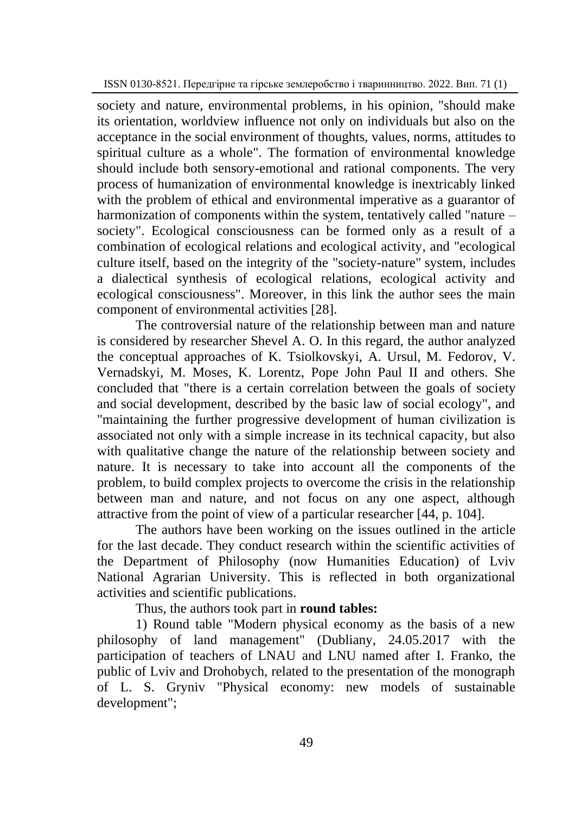society and nature, environmental problems, in his opinion, "should make its orientation, worldview influence not only on individuals but also on the acceptance in the social environment of thoughts, values, norms, attitudes to spiritual culture as a whole". The formation of environmental knowledge should include both sensory-emotional and rational components. The very process of humanization of environmental knowledge is inextricably linked with the problem of ethical and environmental imperative as a guarantor of harmonization of components within the system, tentatively called "nature – society". Ecological consciousness can be formed only as a result of a combination of ecological relations and ecological activity, and "ecological culture itself, based on the integrity of the "society-nature" system, includes a dialectical synthesis of ecological relations, ecological activity and ecological consciousness". Moreover, in this link the author sees the main component of environmental activities [28].

The controversial nature of the relationship between man and nature is considered by researcher Shevel A. O. In this regard, the author analyzed the conceptual approaches of K. Tsiolkovskyi, A. Ursul, M. Fedorov, V. Vernadskyi, M. Moses, K. Lorentz, Pope John Paul II and others. She concluded that "there is a certain correlation between the goals of society and social development, described by the basic law of social ecology", and "maintaining the further progressive development of human civilization is associated not only with a simple increase in its technical capacity, but also with qualitative change the nature of the relationship between society and nature. It is necessary to take into account all the components of the problem, to build complex projects to overcome the crisis in the relationship between man and nature, and not focus on any one aspect, although attractive from the point of view of a particular researcher [44, p. 104].

The authors have been working on the issues outlined in the article for the last decade. They conduct research within the scientific activities of the Department of Philosophy (now Humanities Education) of Lviv National Agrarian University. This is reflected in both organizational activities and scientific publications.

Thus, the authors took part in **round tables:**

1) Round table "Modern physical economy as the basis of a new philosophy of land management" (Dubliany, 24.05.2017 with the participation of teachers of LNAU and LNU named after I. Franko, the public of Lviv and Drohobych, related to the presentation of the monograph of L. S. Gryniv "Physical economy: new models of sustainable development";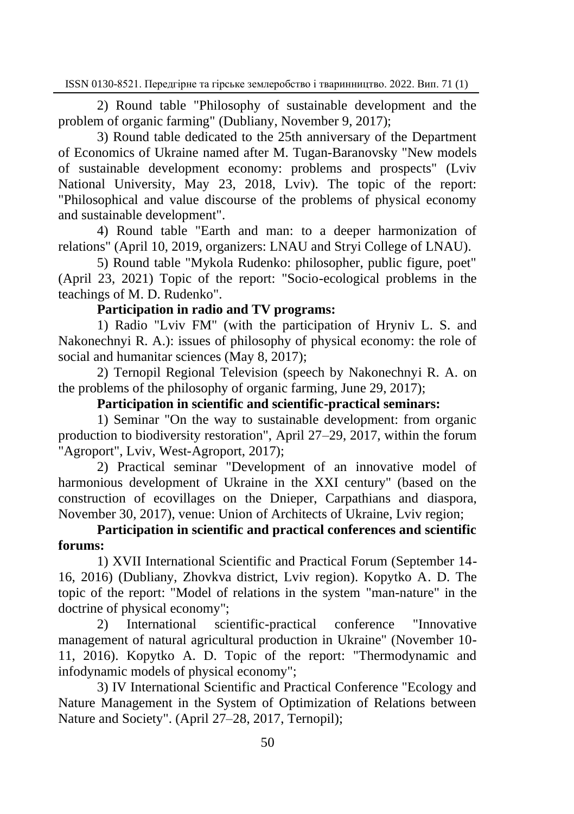2) Round table "Philosophy of sustainable development and the problem of organic farming" (Dubliany, November 9, 2017);

3) Round table dedicated to the 25th anniversary of the Department of Economics of Ukraine named after M. Tugan-Baranovsky "New models of sustainable development economy: problems and prospects" (Lviv National University, May 23, 2018, Lviv). The topic of the report: "Philosophical and value discourse of the problems of physical economy and sustainable development".

4) Round table "Earth and man: to a deeper harmonization of relations" (April 10, 2019, organizers: LNAU and Stryi College of LNAU).

5) Round table "Mykola Rudenko: philosopher, public figure, poet" (April 23, 2021) Topic of the report: "Socio-ecological problems in the teachings of M. D. Rudenko".

## **Participation in radio and TV programs:**

1) Radio "Lviv FM" (with the participation of Hryniv L. S. and Nakonechnyi R. A.): issues of philosophy of physical economy: the role of social and humanitar sciences (May 8, 2017);

2) Ternopil Regional Television (speech by Nakonechnyi R. A. on the problems of the philosophy of organic farming, June 29, 2017);

**Participation in scientific and scientific-practical seminars:**

1) Seminar "On the way to sustainable development: from organic production to biodiversity restoration", April 27–29, 2017, within the forum "Agroport", Lviv, West-Agroport, 2017);

2) Practical seminar "Development of an innovative model of harmonious development of Ukraine in the XXI century" (based on the construction of ecovillages on the Dnieper, Carpathians and diaspora, November 30, 2017), venue: Union of Architects of Ukraine, Lviv region;

**Participation in scientific and practical conferences and scientific forums:**

1) XVII International Scientific and Practical Forum (September 14- 16, 2016) (Dubliany, Zhovkva district, Lviv region). Kopytko A. D. The topic of the report: "Model of relations in the system "man-nature" in the doctrine of physical economy";

2) International scientific-practical conference "Innovative management of natural agricultural production in Ukraine" (November 10- 11, 2016). Kopytko A. D. Topic of the report: "Thermodynamic and infodynamic models of physical economy";

3) IV International Scientific and Practical Conference "Ecology and Nature Management in the System of Optimization of Relations between Nature and Society". (April 27–28, 2017, Ternopil);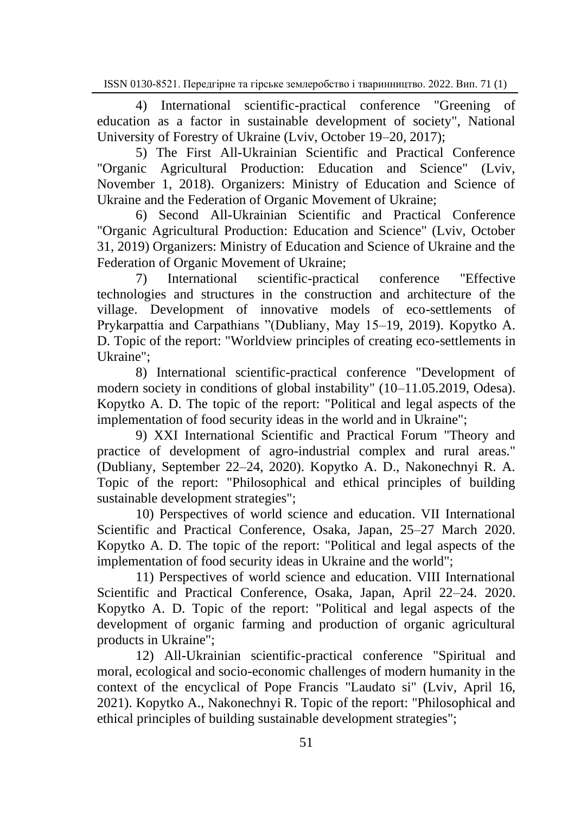4) International scientific-practical conference "Greening of education as a factor in sustainable development of society", National University of Forestry of Ukraine (Lyiv, October 19–20, 2017);

5) The First All-Ukrainian Scientific and Practical Conference "Organic Agricultural Production: Education and Science" (Lviv, November 1, 2018). Organizers: Ministry of Education and Science of Ukraine and the Federation of Organic Movement of Ukraine;

6) Second All-Ukrainian Scientific and Practical Conference "Organic Agricultural Production: Education and Science" (Lviv, October 31, 2019) Organizers: Ministry of Education and Science of Ukraine and the Federation of Organic Movement of Ukraine;

7) International scientific-practical conference "Effective technologies and structures in the construction and architecture of the village. Development of innovative models of eco-settlements of Prykarpattia and Carpathians "(Dubliany, May 15–19, 2019). Kopytko A. D. Topic of the report: "Worldview principles of creating eco-settlements in Ukraine";

8) International scientific-practical conference "Development of modern society in conditions of global instability" (10–11.05.2019, Odesa). Kopytko A. D. The topic of the report: "Political and legal aspects of the implementation of food security ideas in the world and in Ukraine";

9) XXI International Scientific and Practical Forum "Theory and practice of development of agro-industrial complex and rural areas." (Dubliany, September 22‒24, 2020). Kopytko A. D., Nakonechnyi R. A. Topic of the report: "Philosophical and ethical principles of building sustainable development strategies";

10) Perspectives of world science and education. VII International Scientific and Practical Conference, Osaka, Japan, 25–27 March 2020. Kopytko A. D. The topic of the report: "Political and legal aspects of the implementation of food security ideas in Ukraine and the world";

11) Perspectives of world science and education. VIII International Scientific and Practical Conference, Osaka, Japan, April 22–24. 2020. Kopytko A. D. Topic of the report: "Political and legal aspects of the development of organic farming and production of organic agricultural products in Ukraine";

12) All-Ukrainian scientific-practical conference "Spiritual and moral, ecological and socio-economic challenges of modern humanity in the context of the encyclical of Pope Francis "Laudato si" (Lviv, April 16, 2021). Kopytko A., Nakonechnyi R. Topic of the report: "Philosophical and ethical principles of building sustainable development strategies";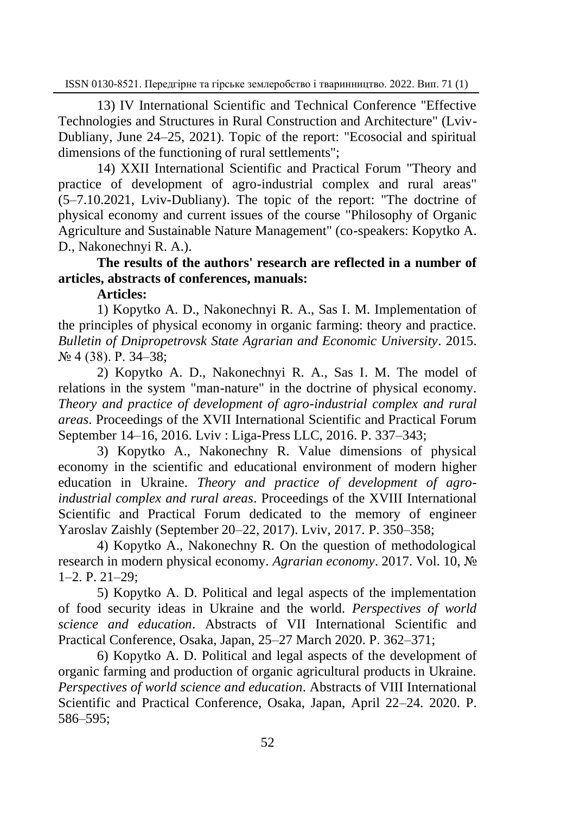13) IV International Scientific and Technical Conference "Effective Technologies and Structures in Rural Construction and Architecture" (Lviv-Dubliany, June 24–25, 2021). Topic of the report: "Ecosocial and spiritual dimensions of the functioning of rural settlements";

14) XXII International Scientific and Practical Forum "Theory and practice of development of agro-industrial complex and rural areas"  $(5-7.10.2021,$  Lviv-Dubliany). The topic of the report: "The doctrine of physical economy and current issues of the course "Philosophy of Organic Agriculture and Sustainable Nature Management" (co-speakers: Kopytko A. D., Nakonechnyi R. A.).

**The results of the authors' research are reflected in a number of articles, abstracts of conferences, manuals:**

**Articles:**

1) Kopytko A. D., Nakonechnyi R. A., Sas I. M. Implementation of the principles of physical economy in organic farming: theory and practice. *Bulletin of Dnipropetrovsk State Agrarian and Economic University*. 2015. № 4 (38). P. 34‒38;

2) Kopytko A. D., Nakonechnyi R. A., Sas I. M. The model of relations in the system "man-nature" in the doctrine of physical economy. *Theory and practice of development of agro-industrial complex and rural areas*. Proceedings of the XVII International Scientific and Practical Forum September 14–16, 2016. Lviv : Liga-Press LLC, 2016. P. 337–343;

3) Kopytko A., Nakonechny R. Value dimensions of physical economy in the scientific and educational environment of modern higher education in Ukraine. *Theory and practice of development of agroindustrial complex and rural areas*. Proceedings of the XVIII International Scientific and Practical Forum dedicated to the memory of engineer Yaroslav Zaishly (September 20‒22, 2017). Lviv, 2017. P. 350‒358;

4) Kopytko A., Nakonechny R. On the question of methodological research in modern physical economy. *Agrarian economy*. 2017. Vol. 10, №  $1-2.$  P.  $21-29$ ;

5) Kopytko A. D. Political and legal aspects of the implementation of food security ideas in Ukraine and the world. *Perspectives of world science and education*. Abstracts of VII International Scientific and Practical Conference, Osaka, Japan, 25–27 March 2020. P. 362–371;

6) Kopytko A. D. Political and legal aspects of the development of organic farming and production of organic agricultural products in Ukraine. *Perspectives of world science and education*. Abstracts of VIII International Scientific and Practical Conference, Osaka, Japan, April 22–24. 2020. P. 586‒595;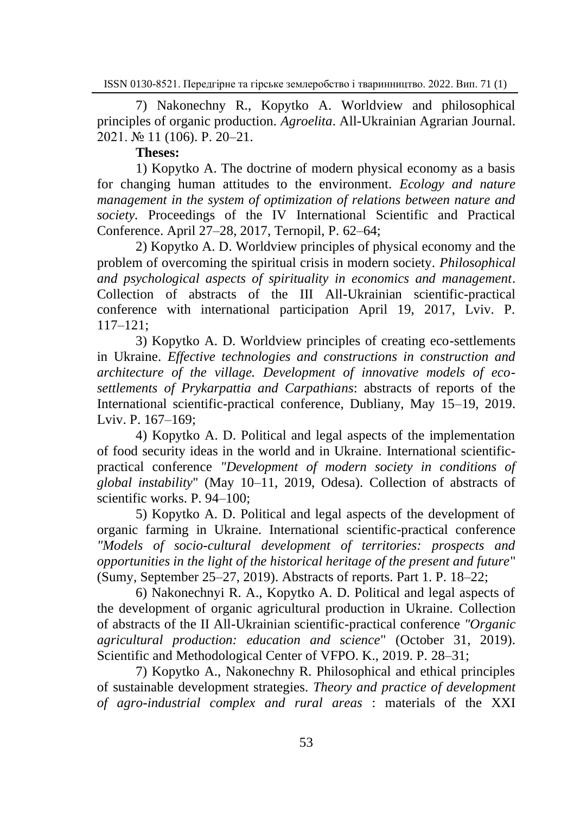7) Nakonechny R., Kopytko A. Worldview and philosophical principles of organic production. *Agroelita*. All-Ukrainian Agrarian Journal. 2021. № 11 (106). P. 20‒21.

**Theses:**

1) Kopytko A. The doctrine of modern physical economy as a basis for changing human attitudes to the environment. *Ecology and nature management in the system of optimization of relations between nature and society.* Proceedings of the IV International Scientific and Practical Conference. April 27–28, 2017, Ternopil, P. 62–64;

2) Kopytko A. D. Worldview principles of physical economy and the problem of overcoming the spiritual crisis in modern society. *Philosophical and psychological aspects of spirituality in economics and management*. Collection of abstracts of the III All-Ukrainian scientific-practical conference with international participation April 19, 2017, Lviv. P. 117‒121;

3) Kopytko A. D. Worldview principles of creating eco-settlements in Ukraine. *Effective technologies and constructions in construction and architecture of the village. Development of innovative models of ecosettlements of Prykarpattia and Carpathians*: abstracts of reports of the International scientific-practical conference, Dubliany, May 15–19, 2019. Lviv. P. 167–169:

4) Kopytko A. D. Political and legal aspects of the implementation of food security ideas in the world and in Ukraine. International scientificpractical conference *"Development of modern society in conditions of global instability*" (May 10‒11, 2019, Odesa). Collection of abstracts of scientific works. P. 94–100:

5) Kopytko A. D. Political and legal aspects of the development of organic farming in Ukraine. International scientific-practical conference *"Models of socio-cultural development of territories: prospects and opportunities in the light of the historical heritage of the present and future*" (Sumy, September 25‒27, 2019). Abstracts of reports. Part 1. P. 18‒22;

6) Nakonechnyi R. A., Kopytko A. D. Political and legal aspects of the development of organic agricultural production in Ukraine. Collection of abstracts of the II All-Ukrainian scientific-practical conference *"Organic agricultural production: education and science*" (October 31, 2019). Scientific and Methodological Center of VFPO. K., 2019. P. 28–31;

7) Kopytko A., Nakonechny R. Philosophical and ethical principles of sustainable development strategies. *Theory and practice of development of agro-industrial complex and rural areas* : materials of the XXI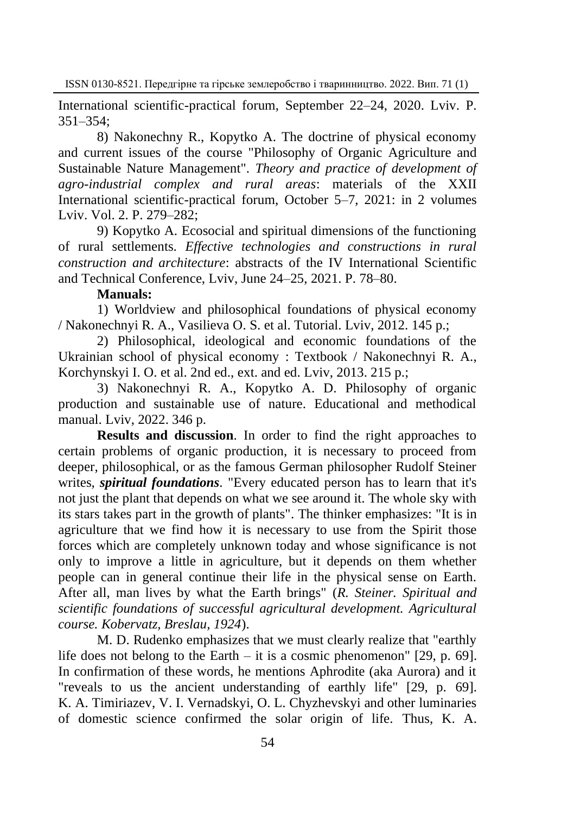International scientific-practical forum, September 22–24, 2020. Lviv. P. 351‒354;

8) Nakonechny R., Kopytko A. The doctrine of physical economy and current issues of the course "Philosophy of Organic Agriculture and Sustainable Nature Management". *Theory and practice of development of agro-industrial complex and rural areas*: materials of the XXII International scientific-practical forum, October 5–7, 2021: in 2 volumes Lviv. Vol. 2. P. 279–282;

9) Kopytko A. Ecosocial and spiritual dimensions of the functioning of rural settlements. *Effective technologies and constructions in rural construction and architecture*: abstracts of the IV International Scientific and Technical Conference, Lviv, June 24–25, 2021. P. 78–80.

## **Manuals:**

1) Worldview and philosophical foundations of physical economy / Nakonechnyi R. A., Vasilieva O. S. et al. Tutorial. Lviv, 2012. 145 p.;

2) Philosophical, ideological and economic foundations of the Ukrainian school of physical economy : Textbook / Nakonechnyi R. A., Korchynskyi I. O. et al. 2nd ed., ext. and ed. Lviv, 2013. 215 p.;

3) Nakonechnyi R. A., Kopytko A. D. Philosophy of organic production and sustainable use of nature. Educational and methodical manual. Lviv, 2022. 346 p.

**Results and discussion**. In order to find the right approaches to certain problems of organic production, it is necessary to proceed from deeper, philosophical, or as the famous German philosopher Rudolf Steiner writes, *spiritual foundations*. "Every educated person has to learn that it's not just the plant that depends on what we see around it. The whole sky with its stars takes part in the growth of plants". The thinker emphasizes: "It is in agriculture that we find how it is necessary to use from the Spirit those forces which are completely unknown today and whose significance is not only to improve a little in agriculture, but it depends on them whether people can in general continue their life in the physical sense on Earth. After all, man lives by what the Earth brings" (*R. Steiner. Spiritual and scientific foundations of successful agricultural development. Agricultural course. Kobervatz, Breslau, 1924*).

M. D. Rudenko emphasizes that we must clearly realize that "earthly life does not belong to the Earth – it is a cosmic phenomenon" [29, p. 69]. In confirmation of these words, he mentions Aphrodite (aka Aurora) and it "reveals to us the ancient understanding of earthly life" [29, p. 69]. K. A. Timiriazev, V. I. Vernadskyi, O. L. Chyzhevskyi and other luminaries of domestic science confirmed the solar origin of life. Thus, K. A.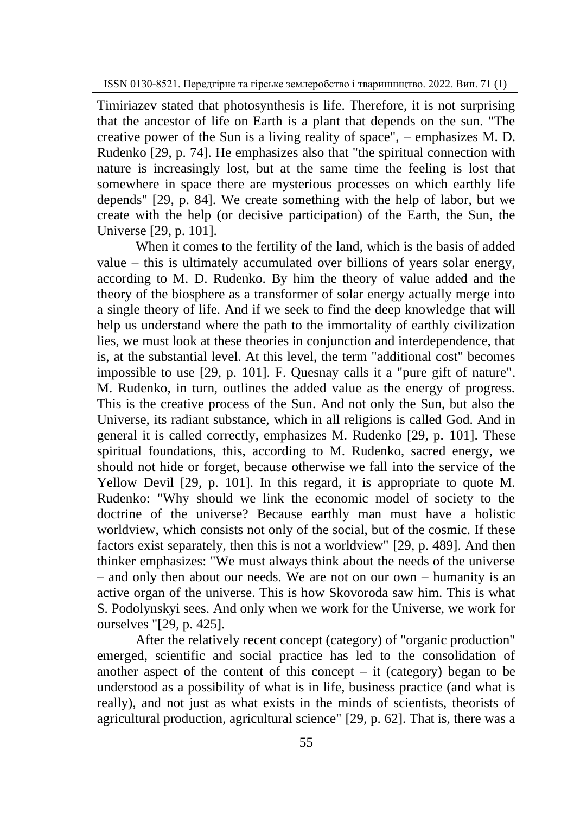Timiriazev stated that photosynthesis is life. Therefore, it is not surprising that the ancestor of life on Earth is a plant that depends on the sun. "The creative power of the Sun is a living reality of space",  $-$  emphasizes M, D. Rudenko [29, p. 74]. He emphasizes also that "the spiritual connection with nature is increasingly lost, but at the same time the feeling is lost that somewhere in space there are mysterious processes on which earthly life depends" [29, p. 84]. We create something with the help of labor, but we create with the help (or decisive participation) of the Earth, the Sun, the Universe [29, p. 101].

When it comes to the fertility of the land, which is the basis of added value – this is ultimately accumulated over billions of years solar energy, according to M. D. Rudenko. By him the theory of value added and the theory of the biosphere as a transformer of solar energy actually merge into a single theory of life. And if we seek to find the deep knowledge that will help us understand where the path to the immortality of earthly civilization lies, we must look at these theories in conjunction and interdependence, that is, at the substantial level. At this level, the term "additional cost" becomes impossible to use [29, p. 101]. F. Quesnay calls it a "pure gift of nature". M. Rudenko, in turn, outlines the added value as the energy of progress. This is the creative process of the Sun. And not only the Sun, but also the Universe, its radiant substance, which in all religions is called God. And in general it is called correctly, emphasizes M. Rudenko [29, p. 101]. These spiritual foundations, this, according to M. Rudenko, sacred energy, we should not hide or forget, because otherwise we fall into the service of the Yellow Devil [29, p. 101]. In this regard, it is appropriate to quote M. Rudenko: "Why should we link the economic model of society to the doctrine of the universe? Because earthly man must have a holistic worldview, which consists not only of the social, but of the cosmic. If these factors exist separately, then this is not a worldview" [29, p. 489]. And then thinker emphasizes: "We must always think about the needs of the universe – and only then about our needs. We are not on our own – humanity is an active organ of the universe. This is how Skovoroda saw him. This is what S. Podolynskyi sees. And only when we work for the Universe, we work for ourselves "[29, p. 425].

After the relatively recent concept (category) of "organic production" emerged, scientific and social practice has led to the consolidation of another aspect of the content of this concept  $-$  it (category) began to be understood as a possibility of what is in life, business practice (and what is really), and not just as what exists in the minds of scientists, theorists of agricultural production, agricultural science" [29, p. 62]. That is, there was a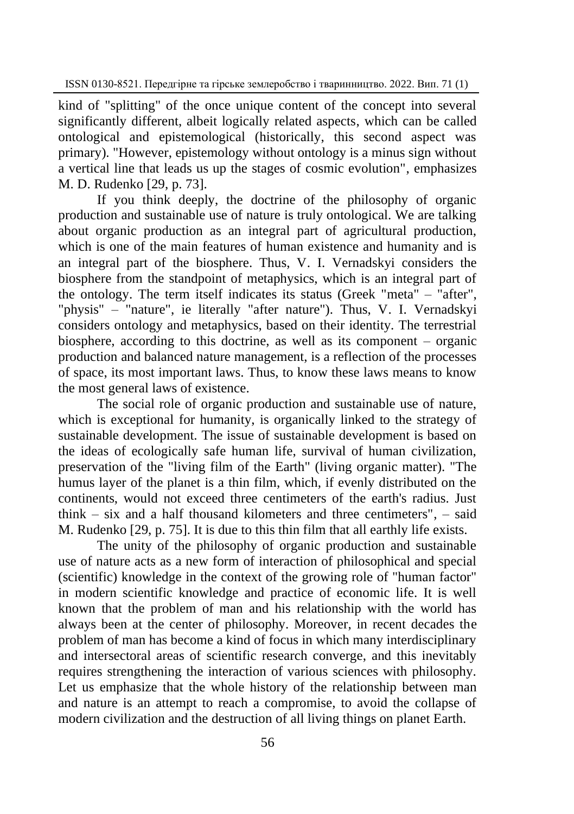kind of "splitting" of the once unique content of the concept into several significantly different, albeit logically related aspects, which can be called ontological and epistemological (historically, this second aspect was primary). "However, epistemology without ontology is a minus sign without a vertical line that leads us up the stages of cosmic evolution", emphasizes M. D. Rudenko [29, p. 73].

If you think deeply, the doctrine of the philosophy of organic production and sustainable use of nature is truly ontological. We are talking about organic production as an integral part of agricultural production, which is one of the main features of human existence and humanity and is an integral part of the biosphere. Thus, V. I. Vernadskyi considers the biosphere from the standpoint of metaphysics, which is an integral part of the ontology. The term itself indicates its status (Greek "meta"  $-$  "after", "physis" ‒ "nature", ie literally "after nature"). Thus, V. I. Vernadskyi considers ontology and metaphysics, based on their identity. The terrestrial biosphere, according to this doctrine, as well as its component – organic production and balanced nature management, is a reflection of the processes of space, its most important laws. Thus, to know these laws means to know the most general laws of existence.

The social role of organic production and sustainable use of nature, which is exceptional for humanity, is organically linked to the strategy of sustainable development. The issue of sustainable development is based on the ideas of ecologically safe human life, survival of human civilization, preservation of the "living film of the Earth" (living organic matter). "The humus layer of the planet is a thin film, which, if evenly distributed on the continents, would not exceed three centimeters of the earth's radius. Just think – six and a half thousand kilometers and three centimeters",  $-$  said M. Rudenko [29, p. 75]. It is due to this thin film that all earthly life exists.

The unity of the philosophy of organic production and sustainable use of nature acts as a new form of interaction of philosophical and special (scientific) knowledge in the context of the growing role of "human factor" in modern scientific knowledge and practice of economic life. It is well known that the problem of man and his relationship with the world has always been at the center of philosophy. Moreover, in recent decades the problem of man has become a kind of focus in which many interdisciplinary and intersectoral areas of scientific research converge, and this inevitably requires strengthening the interaction of various sciences with philosophy. Let us emphasize that the whole history of the relationship between man and nature is an attempt to reach a compromise, to avoid the collapse of modern civilization and the destruction of all living things on planet Earth.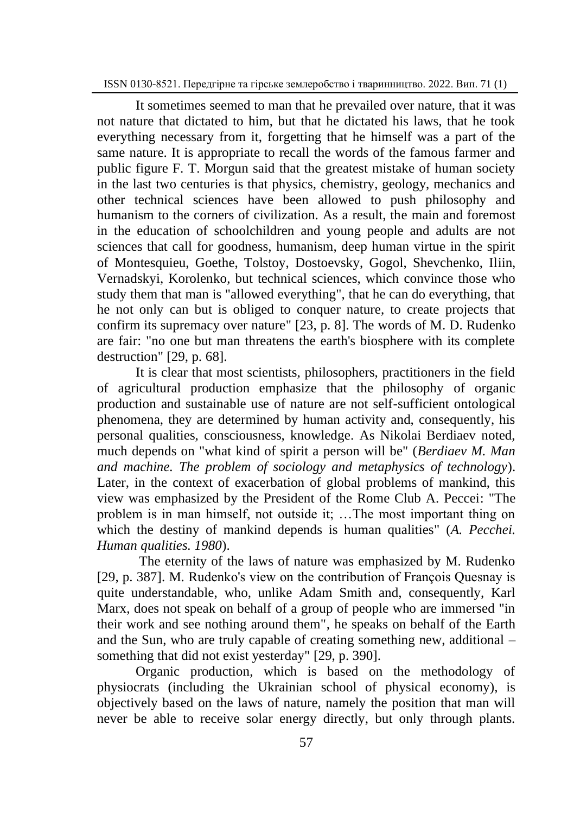It sometimes seemed to man that he prevailed over nature, that it was not nature that dictated to him, but that he dictated his laws, that he took everything necessary from it, forgetting that he himself was a part of the same nature. It is appropriate to recall the words of the famous farmer and public figure F. T. Morgun said that the greatest mistake of human society in the last two centuries is that physics, chemistry, geology, mechanics and other technical sciences have been allowed to push philosophy and humanism to the corners of civilization. As a result, the main and foremost in the education of schoolchildren and young people and adults are not sciences that call for goodness, humanism, deep human virtue in the spirit of Montesquieu, Goethe, Tolstoy, Dostoevsky, Gogol, Shevchenko, Iliin, Vernadskyi, Korolenko, but technical sciences, which convince those who study them that man is "allowed everything", that he can do everything, that he not only can but is obliged to conquer nature, to create projects that confirm its supremacy over nature" [23, p. 8]. The words of M. D. Rudenko are fair: "no one but man threatens the earth's biosphere with its complete destruction" [29, p. 68].

It is clear that most scientists, philosophers, practitioners in the field of agricultural production emphasize that the philosophy of organic production and sustainable use of nature are not self-sufficient ontological phenomena, they are determined by human activity and, consequently, his personal qualities, consciousness, knowledge. As Nikolai Berdiaev noted, much depends on "what kind of spirit a person will be" (*Berdiaev M. Man and machine. The problem of sociology and metaphysics of technology*). Later, in the context of exacerbation of global problems of mankind, this view was emphasized by the President of the Rome Club A. Peccei: "The problem is in man himself, not outside it; …The most important thing on which the destiny of mankind depends is human qualities" (*A. Pecchei. Human qualities. 1980*).

The eternity of the laws of nature was emphasized by M. Rudenko [29, p. 387]. M. Rudenko's view on the contribution of François Quesnay is quite understandable, who, unlike Adam Smith and, consequently, Karl Marx, does not speak on behalf of a group of people who are immersed "in their work and see nothing around them", he speaks on behalf of the Earth and the Sun, who are truly capable of creating something new, additional – something that did not exist yesterday" [29, p. 390].

Organic production, which is based on the methodology of physiocrats (including the Ukrainian school of physical economy), is objectively based on the laws of nature, namely the position that man will never be able to receive solar energy directly, but only through plants.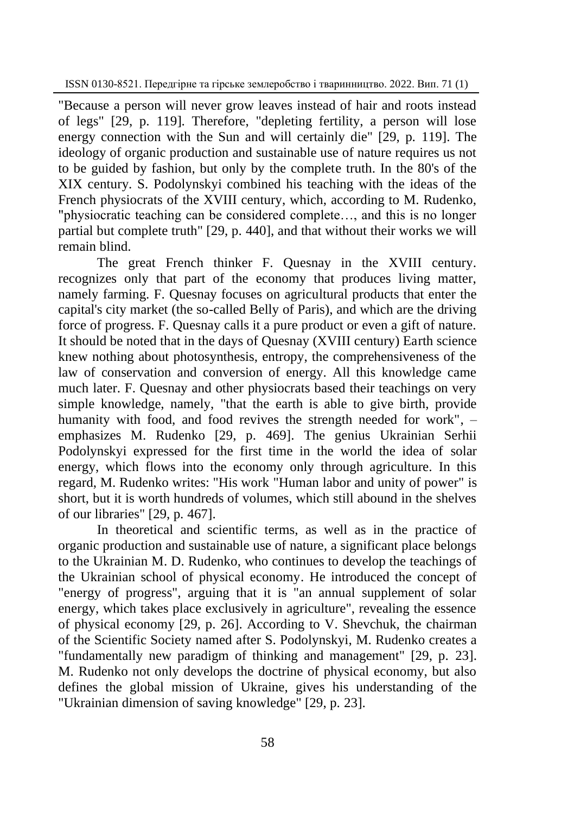"Because a person will never grow leaves instead of hair and roots instead of legs" [29, p. 119]. Therefore, "depleting fertility, a person will lose energy connection with the Sun and will certainly die" [29, p. 119]. The ideology of organic production and sustainable use of nature requires us not to be guided by fashion, but only by the complete truth. In the 80's of the XIX century. S. Podolynskyi combined his teaching with the ideas of the French physiocrats of the XVIII century, which, according to M. Rudenko, "physiocratic teaching can be considered complete…, and this is no longer partial but complete truth" [29, p. 440], and that without their works we will remain blind.

The great French thinker F. Quesnay in the XVIII century. recognizes only that part of the economy that produces living matter, namely farming. F. Quesnay focuses on agricultural products that enter the capital's city market (the so-called Belly of Paris), and which are the driving force of progress. F. Quesnay calls it a pure product or even a gift of nature. It should be noted that in the days of Quesnay (XVIII century) Earth science knew nothing about photosynthesis, entropy, the comprehensiveness of the law of conservation and conversion of energy. All this knowledge came much later. F. Quesnay and other physiocrats based their teachings on very simple knowledge, namely, "that the earth is able to give birth, provide humanity with food, and food revives the strength needed for work",  $$ emphasizes M. Rudenko [29, p. 469]. The genius Ukrainian Serhii Podolynskyi expressed for the first time in the world the idea of solar energy, which flows into the economy only through agriculture. In this regard, M. Rudenko writes: "His work "Human labor and unity of power" is short, but it is worth hundreds of volumes, which still abound in the shelves of our libraries" [29, p. 467].

In theoretical and scientific terms, as well as in the practice of organic production and sustainable use of nature, a significant place belongs to the Ukrainian M. D. Rudenko, who continues to develop the teachings of the Ukrainian school of physical economy. He introduced the concept of "energy of progress", arguing that it is "an annual supplement of solar energy, which takes place exclusively in agriculture", revealing the essence of physical economy [29, p. 26]. According to V. Shevchuk, the chairman of the Scientific Society named after S. Podolynskyi, M. Rudenko creates a "fundamentally new paradigm of thinking and management" [29, p. 23]. M. Rudenko not only develops the doctrine of physical economy, but also defines the global mission of Ukraine, gives his understanding of the "Ukrainian dimension of saving knowledge" [29, p. 23].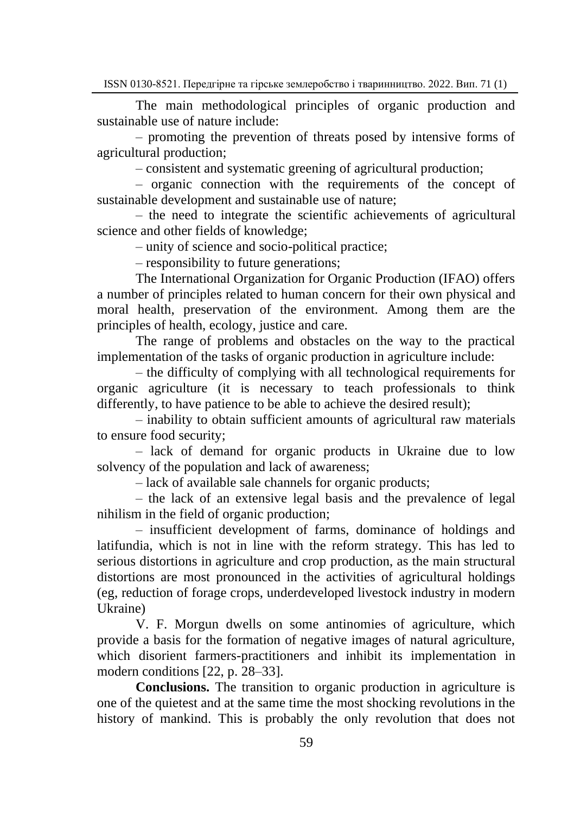The main methodological principles of organic production and sustainable use of nature include:

‒ promoting the prevention of threats posed by intensive forms of agricultural production;

‒ consistent and systematic greening of agricultural production;

‒ organic connection with the requirements of the concept of sustainable development and sustainable use of nature;

‒ the need to integrate the scientific achievements of agricultural science and other fields of knowledge;

‒ unity of science and socio-political practice;

‒ responsibility to future generations;

The International Organization for Organic Production (IFAO) offers a number of principles related to human concern for their own physical and moral health, preservation of the environment. Among them are the principles of health, ecology, justice and care.

The range of problems and obstacles on the way to the practical implementation of the tasks of organic production in agriculture include:

‒ the difficulty of complying with all technological requirements for organic agriculture (it is necessary to teach professionals to think differently, to have patience to be able to achieve the desired result);

‒ inability to obtain sufficient amounts of agricultural raw materials to ensure food security;

‒ lack of demand for organic products in Ukraine due to low solvency of the population and lack of awareness;

- lack of available sale channels for organic products;

‒ the lack of an extensive legal basis and the prevalence of legal nihilism in the field of organic production;

‒ insufficient development of farms, dominance of holdings and latifundia, which is not in line with the reform strategy. This has led to serious distortions in agriculture and crop production, as the main structural distortions are most pronounced in the activities of agricultural holdings (eg, reduction of forage crops, underdeveloped livestock industry in modern Ukraine)

V. F. Morgun dwells on some antinomies of agriculture, which provide a basis for the formation of negative images of natural agriculture, which disorient farmers-practitioners and inhibit its implementation in modern conditions [22, p. 28–33].

**Conclusions.** The transition to organic production in agriculture is one of the quietest and at the same time the most shocking revolutions in the history of mankind. This is probably the only revolution that does not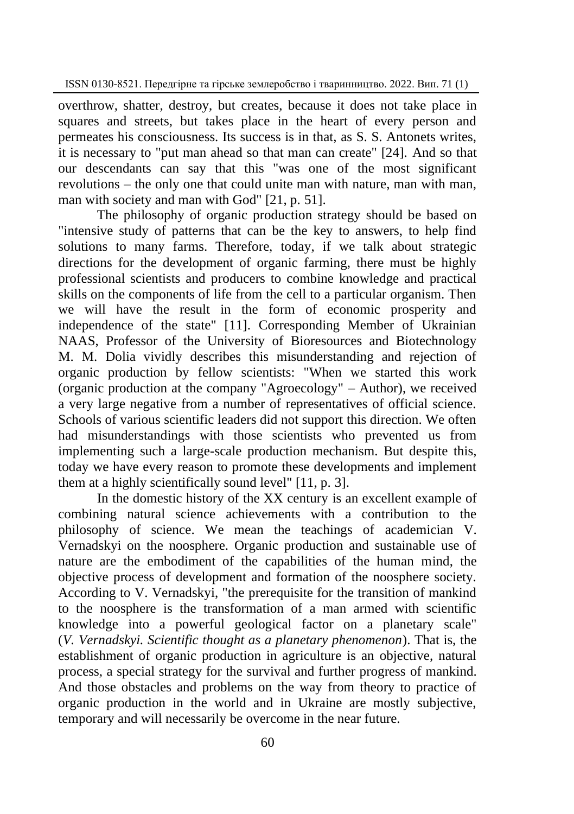overthrow, shatter, destroy, but creates, because it does not take place in squares and streets, but takes place in the heart of every person and permeates his consciousness. Its success is in that, as S. S. Antonets writes, it is necessary to "put man ahead so that man can create" [24]. And so that our descendants can say that this "was one of the most significant revolutions – the only one that could unite man with nature, man with man, man with society and man with God" [21, p. 51].

The philosophy of organic production strategy should be based on "intensive study of patterns that can be the key to answers, to help find solutions to many farms. Therefore, today, if we talk about strategic directions for the development of organic farming, there must be highly professional scientists and producers to combine knowledge and practical skills on the components of life from the cell to a particular organism. Then we will have the result in the form of economic prosperity and independence of the state" [11]. Corresponding Member of Ukrainian NAAS, Professor of the University of Bioresources and Biotechnology M. M. Dolia vividly describes this misunderstanding and rejection of organic production by fellow scientists: "When we started this work (organic production at the company "Agroecology" ‒ Author), we received a very large negative from a number of representatives of official science. Schools of various scientific leaders did not support this direction. We often had misunderstandings with those scientists who prevented us from implementing such a large-scale production mechanism. But despite this, today we have every reason to promote these developments and implement them at a highly scientifically sound level" [11, p. 3].

In the domestic history of the XX century is an excellent example of combining natural science achievements with a contribution to the philosophy of science. We mean the teachings of academician V. Vernadskyi on the noosphere. Organic production and sustainable use of nature are the embodiment of the capabilities of the human mind, the objective process of development and formation of the noosphere society. According to V. Vernadskyi, "the prerequisite for the transition of mankind to the noosphere is the transformation of a man armed with scientific knowledge into a powerful geological factor on a planetary scale" (*V. Vernadskyi. Scientific thought as a planetary phenomenon*). That is, the establishment of organic production in agriculture is an objective, natural process, a special strategy for the survival and further progress of mankind. And those obstacles and problems on the way from theory to practice of organic production in the world and in Ukraine are mostly subjective, temporary and will necessarily be overcome in the near future.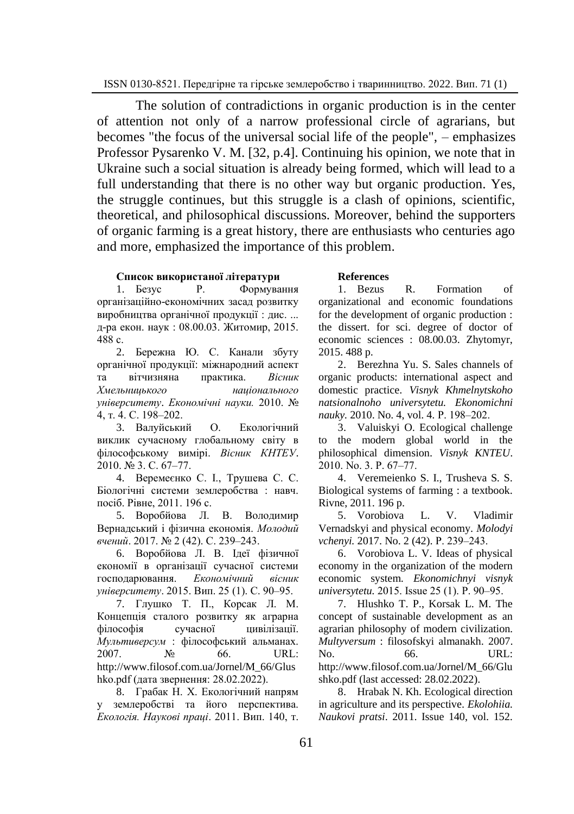The solution of contradictions in organic production is in the center of attention not only of a narrow professional circle of agrarians, but becomes "the focus of the universal social life of the people",  $-$  emphasizes Professor Pysarenko V. M. [32, p.4]. Continuing his opinion, we note that in Ukraine such a social situation is already being formed, which will lead to a full understanding that there is no other way but organic production. Yes, the struggle continues, but this struggle is a clash of opinions, scientific, theoretical, and philosophical discussions. Moreover, behind the supporters of organic farming is a great history, there are enthusiasts who centuries ago and more, emphasized the importance of this problem.

#### **Список використаної літератури**

1. Безус Р. Формування організаційно-економічних засад розвитку виробництва органічної продукції : дис. ... д-ра екон. наук : 08.00.03. Житомир, 2015. 488 с.

2. Бережна Ю. С. Канали збуту органічної продукції: міжнародний аспект та вітчизняна практика. *Вісник Хмельницького національного університету*. *Економічні науки.* 2010. № 4, т. 4. С. 198‒202.

3. Валуйський О. Екологічний виклик сучасному глобальному світу в філософському вимірі. *Вісник КНТЕУ*. 2010. № 3. С. 67‒77.

4. Веремеєнко С. І., Трушева С. С. Біологічні системи землеробства : навч. посіб. Рівне, 2011. 196 с.

5. Воробйова Л. В. Володимир Вернадський і фізична економія. *Молодий вчений*. 2017. № 2 (42). С. 239‒243.

6. Воробйова Л. В. Ідеї фізичної економії в організації сучасної системи господарювання. *Економічний вісник університету*. 2015. Вип. 25 (1). С. 90‒95.

7. Глушко Т. П., Корсак Л. М. Концепція сталого розвитку як аграрна філософія сучасної цивілізації. *Мультиверсум* : філософський альманах. 2007. № 66. URL: [http://www.filosof.com.ua/Jornel/M\\_66/G](http://www.filosof.com.ua/Jornel/M_66/)lus hko.pdf (дата звернення: 28.02.2022).

8. Грабак Н. Х. Екологічний напрям землеробстві та його перспектива. *Екологія. Наукові праці*. 2011. Вип. 140, т.

#### **References**

1. Bezus R. Formation of organizational and economic foundations for the development of organic production : the dissert. for sci. degree of doctor of economic sciences : 08.00.03. Zhytomyr, 2015. 488 p.

2. Berezhna Yu. S. Sales channels of organic products: international aspect and domestic practice. *Visnyk Khmelnytskoho natsionalnoho universytetu. Ekonomichni nauky.* 2010. No. 4, vol. 4, P. 198–202.

3. Valuiskyi O. Ecological challenge to the modern global world in the philosophical dimension. *Visnyk KNTEU*. 2010. No. 3. P. 67-77.

4. Veremeienko S. I., Trusheva S. S. Biological systems of farming : a textbook. Rivne, 2011. 196 p.

5. Vorobiova L. V. Vladimir Vernadskyi and physical economy. *Molodyi vchenyi.* 2017. No. 2 (42). P. 239-243.

6. Vorobiova L. V. Ideas of physical economy in the organization of the modern economic system. *Ekonomichnyi visnyk universytetu.* 2015. Issue 25 (1). P. 90‒95.

7. Hlushko T. P., Korsak L. M. The concept of sustainable development as an agrarian philosophy of modern civilization*. Multyversum* : filosofskyi almanakh. 2007. No. 66. URL: http:/[/www.filosof.c](http://www.filosof/)om.ua/Jornel/M\_66/Glu shko.pdf (last accessed: 28.02.2022).

8. Hrabak N. Kh. Ecological direction in agriculture and its perspective. *Ekolohiia. Naukovi pratsi*. 2011. Issue 140, vol. 152.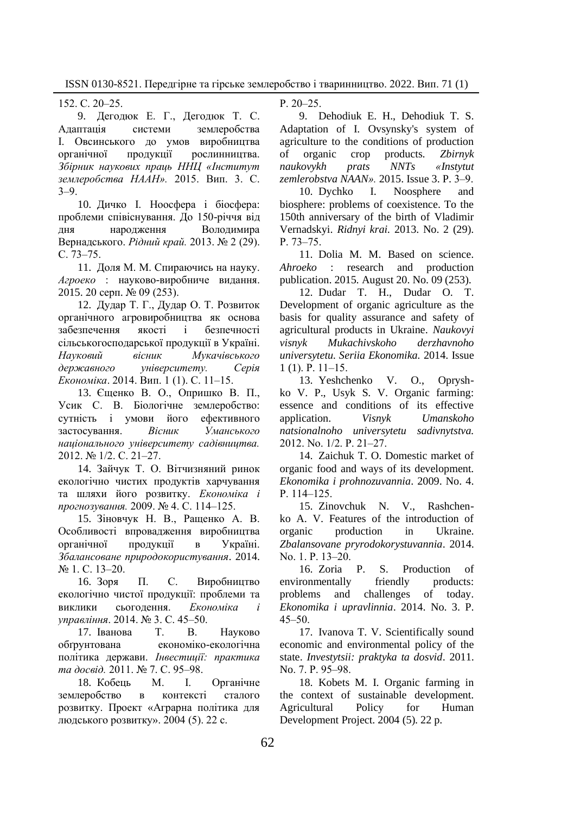152. С. 20‒25.

9. Дегодюк Е. Г., Дегодюк Т. С. Адаптація системи землеробства І. Овсинського до умов виробництва органічної продукції рослинництва. *Збірник наукових праць ННЦ «Інститут землеробства НААН».* 2015. Вип. 3. С.  $3 - 9.$ 

10. Дичко І. Ноосфера і біосфера: проблеми співіснування. До 150-річчя від дня народження Володимира Вернадського. *Рідний край.* 2013. № 2 (29). С. 73‒75.

11. Доля М. М. Спираючись на науку. *Агроеко* : науково-виробниче видання. 2015. 20 серп. № 09 (253).

12. Дудар Т. Г., Дудар О. Т. Розвиток органічного агровиробництва як основа забезпечення якості і безпечності сільськогосподарської продукції в Україні. *Науковий вісник Мукачівського державного університету. Серія Економіка*. 2014. Вип. 1 (1). С. 11‒15.

13. Єщенко В. О., Опришко В. П., Усик С. В. Біологічне землеробство: сутність і умови його ефективного застосування. *Вісник Уманського національного університету садівництва.*  2012. № 1/2. С. 21-27.

14. Зайчук Т. О. Вітчизняний ринок екологічно чистих продуктів харчування та шляхи його розвитку. *Економіка і прогнозування.* 2009. № 4. С. 114‒125.

15. Зіновчук Н. В., Ращенко А. В. Особливості впровадження виробництва органічної продукції в Україні. *Збалансоване природокористування*. 2014. № 1. С. 13-20.

16. Зоря П. С. Виробництво екологічно чистої продукції: проблеми та виклики сьогодення. *Економіка управління*. 2014. № 3. С. 45‒50.

17. Іванова Т. В. Науково обґрунтована економіко-екологічна політика держави. *Інвестиції: практика та досвід.* 2011. № 7. С. 95‒98.

18. Кобець М. І. Органічне землеробство в контексті сталого розвитку. Проект «Аграрна політика для людського розвитку». 2004 (5). 22 с.

 $P. 20 - 25.$ 

9. Dehodiuk E. H., Dehodiuk T. S. Adaptation of I. Ovsynsky's system of agriculture to the conditions of production of organic crop products. *Zbirnyk naukovykh prats NNTs «Instytut zemlerobstva NAAN».* 2015. Issue 3. P. 3‒9.

10. Dychko I. Noosphere and biosphere: problems of coexistence. To the 150th anniversary of the birth of Vladimir Vernadskyi. *Ridnyi krai.* 2013. No. 2 (29). P. 73–75.

11. Dolia M. M. Based on science. *Ahroeko* : research and production publication. 2015. August 20. No. 09 (253).

12. Dudar T. H., Dudar O. T. Development of organic agriculture as the basis for quality assurance and safety of agricultural products in Ukraine. *Naukovyi visnyk Mukachivskoho derzhavnoho universytetu. Seriia Ekonomika.* 2014. Issue  $1(1)$ . P.  $11-15$ .

13. Yeshchenko V. O., Opryshko V. P., Usyk S. V. Organic farming: essence and conditions of its effective application. *Visnyk Umanskoho natsionalnoho universytetu sadivnytstva.* 2012. No. 1/2. P. 21-27.

14. Zaichuk T. O. Domestic market of organic food and ways of its development. *Ekonomika i prohnozuvannia*. 2009. No. 4. P. 114‒125.

15. Zinovchuk N. V., Rashchenko A. V. Features of the introduction of organic production in Ukraine. *Zbalansovane pryrodokorystuvannia*. 2014. No. 1. P. 13-20.

16. Zoria P. S. Production of environmentally friendly products: problems and challenges of today. *Ekonomika i upravlinnia*. 2014. No. 3. P.  $45 - 50.$ 

17. Ivanova T. V. Scientifically sound economic and environmental policy of the state. *Investytsii: praktyka ta dosvid*. 2011. No. 7. P. 95-98.

18. Kobets M. I. Organic farming in the context of sustainable development. Agricultural Policy for Human Development Project. 2004 (5). 22 p.

ISSN 0130-8521. Передгірне та гірське землеробство і тваринництво. 2022. Вип. 71 (1)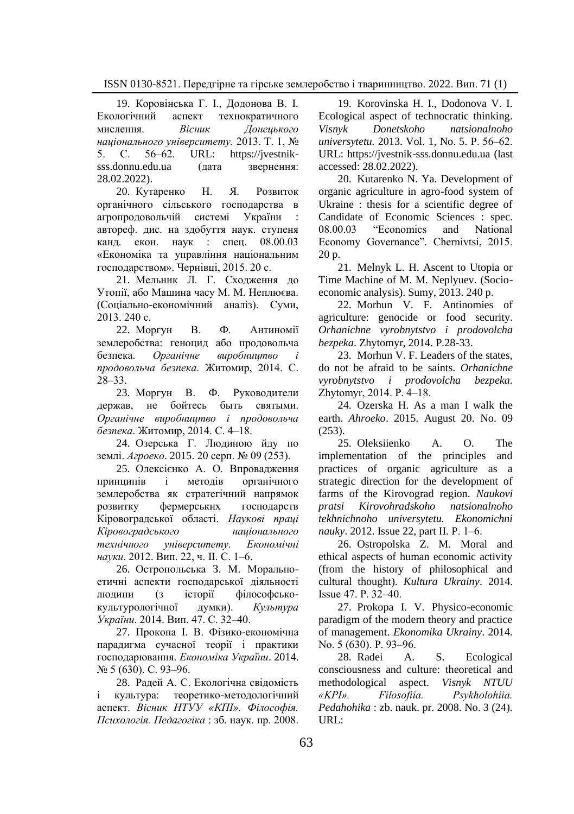19. Коровінська Г. І., Додонова В. І. Екологічний аспект технократичного мислення. *Вісник Донецького національного університету.* 2013. Т. 1, № 5. С. 56–62. URL: https://ivestnik[sss.donnu.edu.ua](https://jvestnik-sss.donnu.edu.ua/) (дата звернення: 28.02.2022).

20. Кутаренко Н. Я. Розвиток органічного сільського господарства в агропродовольчій системі України автореф. дис. на здобуття наук. ступеня канд. екон. наук : спец. 08.00.03 «Економіка та управління національним господарством». Чернівці, 2015. 20 с.

21. Мельник Л. Г. Сходження до Утопії, або Машина часу М. М. Неплюєва. (Соціально-економічний аналіз). Суми, 2013. 240 с.

22. Моргун В. Ф. Антиномії землеробства: геноцид або продовольча безпека. *Органічне виробництво і продовольча безпека*. Житомир, 2014. С. 28‒33.

23. Моргун В. Ф. Руководители держав, не бойтесь быть святыми. *Органічне виробництво і продовольча безпека*. Житомир, 2014. С. 4‒18.

24. Озерська Г. Людиною йду по землі. *Агроеко*. 2015. 20 серп. № 09 (253).

25. Олексієнко А. О. Впровадження принципів і методів органічного землеробства як стратегічний напрямок розвитку фермерських господарств Кіровоградської області. *Наукові праці Кіровоградського національного технічного університету. Економічні науки*. 2012. Вип. 22, ч. II. С. 1‒6.

26. Остропольська З. М. Моральноетичні аспекти господарської діяльності людини (з історії філософськокультурологічної думки). *Культура України*. 2014. Вип. 47. С. 32‒40.

27. Прокопа І. В. Фізико-економічна парадигма сучасної теорії і практики господарювання. *Економіка України*. 2014. № 5 (630). С. 93-96.

28. Радей А. С. Екологічна свідомість і культура: теоретико-методологічний аспект. *Вісник НТУУ «КПІ». Філософія. Психологія. Педагогіка* : зб. наук. пр. 2008.

19. Korovinska H. I., Dodonova V. I. Ecological aspect of technocratic thinking. *Visnyk Donetskoho natsionalnoho universytetu.* 2013. Vol. 1, No. 5. P. 56‒62. URL: https://jvestnik-sss.donnu.edu.ua (last accessed: 28.02.2022).

20. Kutarenko N. Ya. Development of organic agriculture in agro-food system of Ukraine : thesis for a scientific degree of Candidate of Economic Sciences : spec. 08.00.03 "Economics and National Economy Governance". Chernivtsi, 2015. 20 p.

21. Melnyk L. H. Ascent to Utopia or Time Machine of M. M. Neplyuev. (Socioeconomic analysis). Sumy, 2013. 240 p.

22. Morhun V. F. Antinomies of agriculture: genocide or food security. *Orhanichne vyrobnytstvo i prodovolcha bezpeka*. Zhytomyr, 2014. P.28-33.

23. Morhun V. F. Leaders of the states, do not be afraid to be saints. *Orhanichne vyrobnytstvo i prodovolcha bezpeka*. Zhytomyr, 2014. P. 4‒18.

24. Ozerska H. As a man I walk the earth. *Ahroeko*. 2015. August 20. No. 09 (253).

25. Oleksiienko A. O. The implementation of the principles and practices of organic agriculture as a strategic direction for the development of farms of the Kirovograd region. *Naukovi pratsi Kirovohradskoho natsionalnoho tekhnichnoho universytetu. Ekonomichni nauky*. 2012. Issue 22, part II. P. 1-6.

26. Ostropolska Z. M. Moral and ethical aspects of human economic activity (from the history of philosophical and cultural thought). *Kultura Ukrainy*. 2014. Issue 47. P. 32‒40.

27. Prokopa I. V. Physico-economic paradigm of the modern theory and practice of management. *Ekonomika Ukrainy*. 2014. No. 5 (630). P. 93-96.

28. Radei A. S. Ecological consciousness and culture: theoretical and methodological aspect. *Visnyk NTUU «KPI». Filosofiia. Psykholohiia. Pedahohika* : zb. nauk. pr. 2008. No. 3 (24). URL: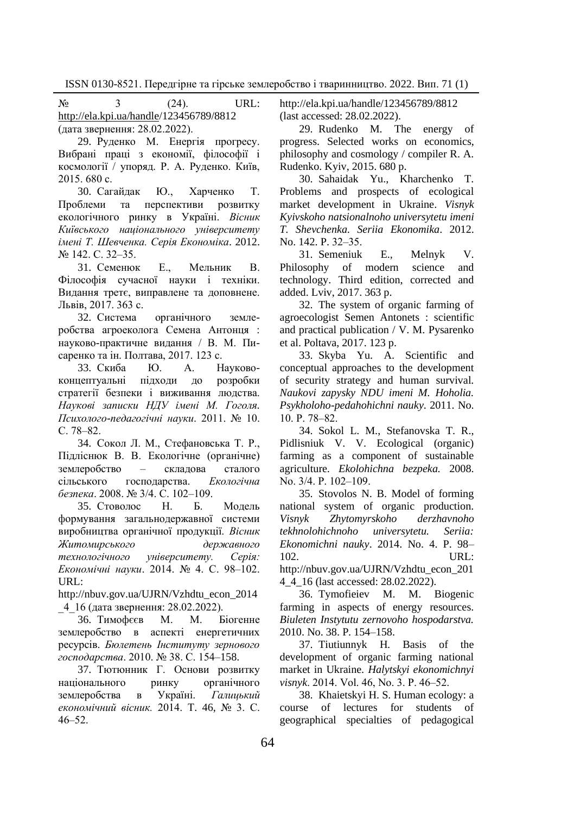$N_2$  3 (24). URL: [http://ela.kpi.ua/handle/1](http://ela.kpi.ua/handle)23456789/8812 (дата звернення: 28.02.2022).

29. Руденко М. Енергія прогресу. Вибрані праці з економії, філософії і космології / упоряд. Р. А. Руденко. Київ, 2015. 680 с.

30. Сагайдак Ю., Харченко Т. Проблеми та перспективи розвитку екологічного ринку в Україні. *Вісник Київського національного університету імені Т. Шевченка. Серія Економіка*. 2012. № 142. С. 32‒35.

31. Семенюк Е., Мельник В. Філософія сучасної науки і техніки. Видання третє, виправлене та доповнене. Львів, 2017. 363 с.

32. Система органічного землеробства агроеколога Семена Антонця : науково-практичне видання / В. М. Писаренко та ін. Полтава, 2017. 123 с.

33. Скиба Ю. А. Науковоконцептуальні підходи до розробки стратегії безпеки і виживання людства. *Наукові записки НДУ імені М. Гоголя. Психолого-педагогічні науки*. 2011. № 10. С. 78–82.

34. Сокол Л. М., Стефановська Т. Р., Підліснюк В. В. Екологічне (органічне) землеробство – складова сталого сільського господарства. *Екологічна безпека*. 2008. № 3/4. С. 102‒109.

35. Стоволос Н. Б. Модель формування загальнодержавної системи виробництва органічної продукції. *Вісник Житомирського державного технологічного університету. Серія: Економічні науки*. 2014. № 4. С. 98‒102. URL:

http://nbuv.gov.ua/UJRN/Vzhdtu\_econ\_2014 \_4\_16 (дата звернення: 28.02.2022).

36. Тимофєєв М. М. Біогенне землеробство в аспекті енергетичних ресурсів. *Бюлетень Інституту зернового господарства*. 2010. № 38. С. 154–158.

37. Тютюнник Г. Основи розвитку національного ринку органічного<br>землеробства в Україні. Галицький землеробства в Україні. *Галицький економічний вісник.* 2014. Т. 46, № 3. С.  $46 - 52$ 

http://ela.kpi.ua/handle/123456789/8812 (last accessed: 28.02.2022).

29. Rudenko M. The energy of progress. Selected works on economics, philosophy and cosmology / compiler R. A. Rudenko. Kyiv, 2015. 680 p.

30. Sahaidak Yu., Kharchenko T. Problems and prospects of ecological market development in Ukraine. *Visnyk Kyivskoho natsionalnoho universytetu imeni T. Shevchenka. Seriia Ekonomika*. 2012. No. 142. P. 32-35.

31. Semeniuk E., Melnyk V. Philosophy of modern science and technology. Third edition, corrected and added. Lviv, 2017. 363 p.

32. The system of organic farming of agroecologist Semen Antonets : scientific and practical publication / V. M. Pysarenko et al. Poltava, 2017. 123 p.

33. Skyba Yu. A. Scientific and conceptual approaches to the development of security strategy and human survival. *Naukovi zapysky NDU imeni M. Hoholia. Psykholoho-pedahohichni nauky*. 2011. No. 10. P. 78‒82.

34. Sokol L. M., Stefanovska T. R., Pidlisniuk V. V. Ecological (organic) farming as a component of sustainable agriculture. *Ekolohichna bezpeka.* 2008. No. 3/4. P. 102-109.

35. Stovolos N. B. Model of forming national system of organic production. *Visnyk Zhytomyrskoho derzhavnoho tekhnolohichnoho universytetu. Seriia: Ekonomichni nauky*. 2014. No. 4. P. 98– 102. URL:

[http://nbuv.gov.ua/UJRN/Vzhdtu\\_econ\\_201](http://nbuv.gov.ua/UJRN/Vzhdtu_econ_2014_4_16) [4\\_4\\_16](http://nbuv.gov.ua/UJRN/Vzhdtu_econ_2014_4_16) (last accessed: 28.02.2022).

36. Tymofieiev M. M. Biogenic farming in aspects of energy resources. *Biuleten Instytutu zernovoho hospodarstva.*  2010. No. 38. P. 154–158.

37. Tiutiunnyk H. Basis of the development of organic farming national market in Ukraine*. Halytskyi ekonomichnyi visnyk*. 2014. Vol. 46, No. 3. P. 46‒52.

38. Khaietskyi H. S. Human ecology: a course of lectures for students of geographical specialties of pedagogical